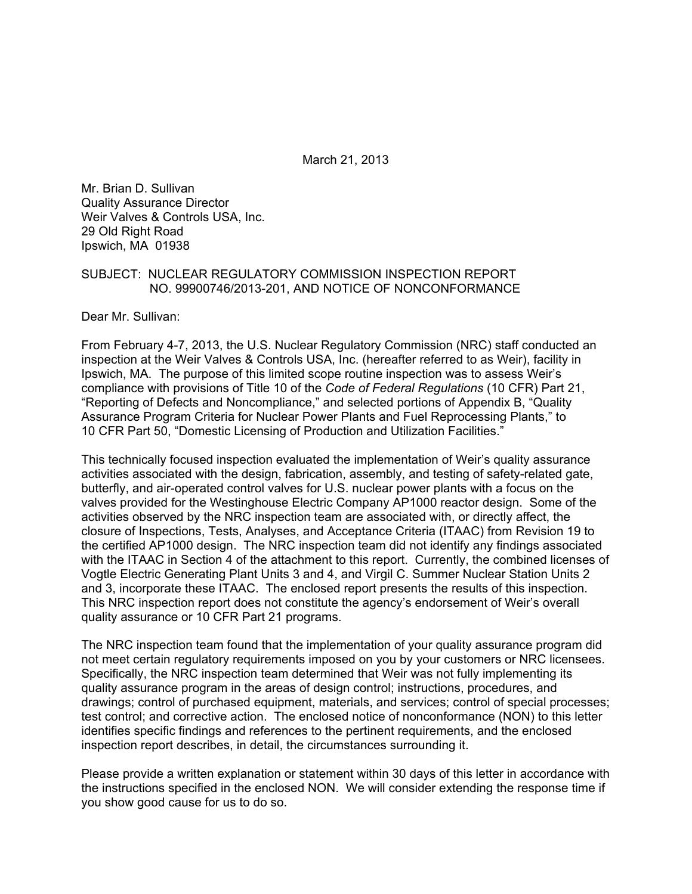March 21, 2013

Mr. Brian D. Sullivan Quality Assurance Director Weir Valves & Controls USA, Inc. 29 Old Right Road Ipswich, MA 01938

#### SUBJECT: NUCLEAR REGULATORY COMMISSION INSPECTION REPORT NO. 99900746/2013-201, AND NOTICE OF NONCONFORMANCE

Dear Mr. Sullivan:

From February 4-7, 2013, the U.S. Nuclear Regulatory Commission (NRC) staff conducted an inspection at the Weir Valves & Controls USA, Inc. (hereafter referred to as Weir), facility in Ipswich, MA. The purpose of this limited scope routine inspection was to assess Weir's compliance with provisions of Title 10 of the *Code of Federal Regulations* (10 CFR) Part 21, "Reporting of Defects and Noncompliance," and selected portions of Appendix B, "Quality Assurance Program Criteria for Nuclear Power Plants and Fuel Reprocessing Plants," to 10 CFR Part 50, "Domestic Licensing of Production and Utilization Facilities."

This technically focused inspection evaluated the implementation of Weir's quality assurance activities associated with the design, fabrication, assembly, and testing of safety-related gate, butterfly, and air-operated control valves for U.S. nuclear power plants with a focus on the valves provided for the Westinghouse Electric Company AP1000 reactor design. Some of the activities observed by the NRC inspection team are associated with, or directly affect, the closure of Inspections, Tests, Analyses, and Acceptance Criteria (ITAAC) from Revision 19 to the certified AP1000 design. The NRC inspection team did not identify any findings associated with the ITAAC in Section 4 of the attachment to this report. Currently, the combined licenses of Vogtle Electric Generating Plant Units 3 and 4, and Virgil C. Summer Nuclear Station Units 2 and 3, incorporate these ITAAC. The enclosed report presents the results of this inspection. This NRC inspection report does not constitute the agency's endorsement of Weir's overall quality assurance or 10 CFR Part 21 programs.

The NRC inspection team found that the implementation of your quality assurance program did not meet certain regulatory requirements imposed on you by your customers or NRC licensees. Specifically, the NRC inspection team determined that Weir was not fully implementing its quality assurance program in the areas of design control; instructions, procedures, and drawings; control of purchased equipment, materials, and services; control of special processes; test control; and corrective action. The enclosed notice of nonconformance (NON) to this letter identifies specific findings and references to the pertinent requirements, and the enclosed inspection report describes, in detail, the circumstances surrounding it.

Please provide a written explanation or statement within 30 days of this letter in accordance with the instructions specified in the enclosed NON. We will consider extending the response time if you show good cause for us to do so.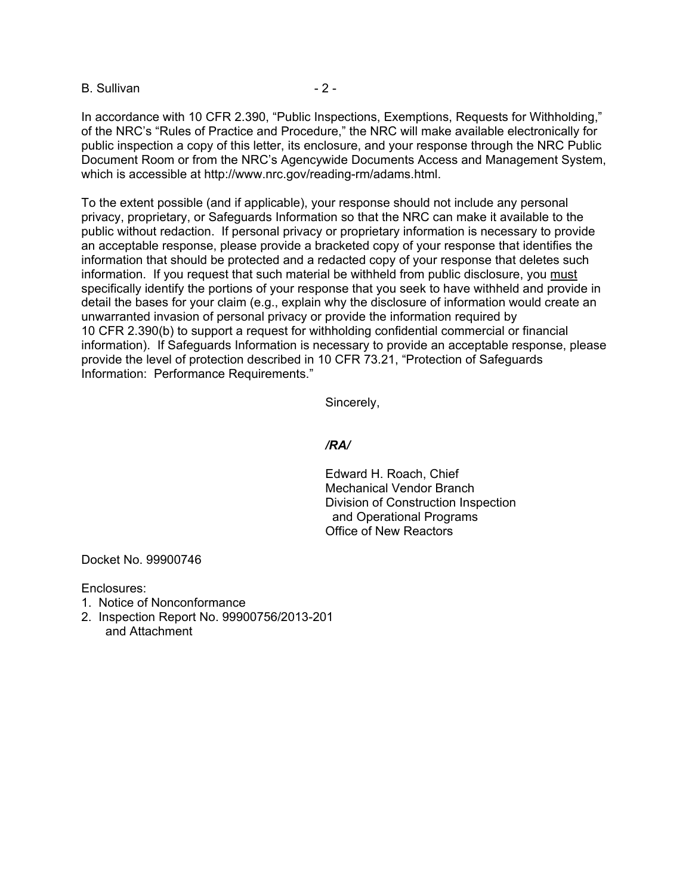B. Sullivan - 2 -

In accordance with 10 CFR 2.390, "Public Inspections, Exemptions, Requests for Withholding," of the NRC's "Rules of Practice and Procedure," the NRC will make available electronically for public inspection a copy of this letter, its enclosure, and your response through the NRC Public Document Room or from the NRC's Agencywide Documents Access and Management System, which is accessible at http://www.nrc.gov/reading-rm/adams.html.

To the extent possible (and if applicable), your response should not include any personal privacy, proprietary, or Safeguards Information so that the NRC can make it available to the public without redaction. If personal privacy or proprietary information is necessary to provide an acceptable response, please provide a bracketed copy of your response that identifies the information that should be protected and a redacted copy of your response that deletes such information. If you request that such material be withheld from public disclosure, you must specifically identify the portions of your response that you seek to have withheld and provide in detail the bases for your claim (e.g., explain why the disclosure of information would create an unwarranted invasion of personal privacy or provide the information required by 10 CFR 2.390(b) to support a request for withholding confidential commercial or financial information). If Safeguards Information is necessary to provide an acceptable response, please provide the level of protection described in 10 CFR 73.21, "Protection of Safeguards Information: Performance Requirements."

Sincerely,

#### */RA/*

Edward H. Roach, Chief Mechanical Vendor Branch Division of Construction Inspection and Operational Programs Office of New Reactors

Docket No. 99900746

Enclosures:

- 1. Notice of Nonconformance
- 2. Inspection Report No. 99900756/2013-201 and Attachment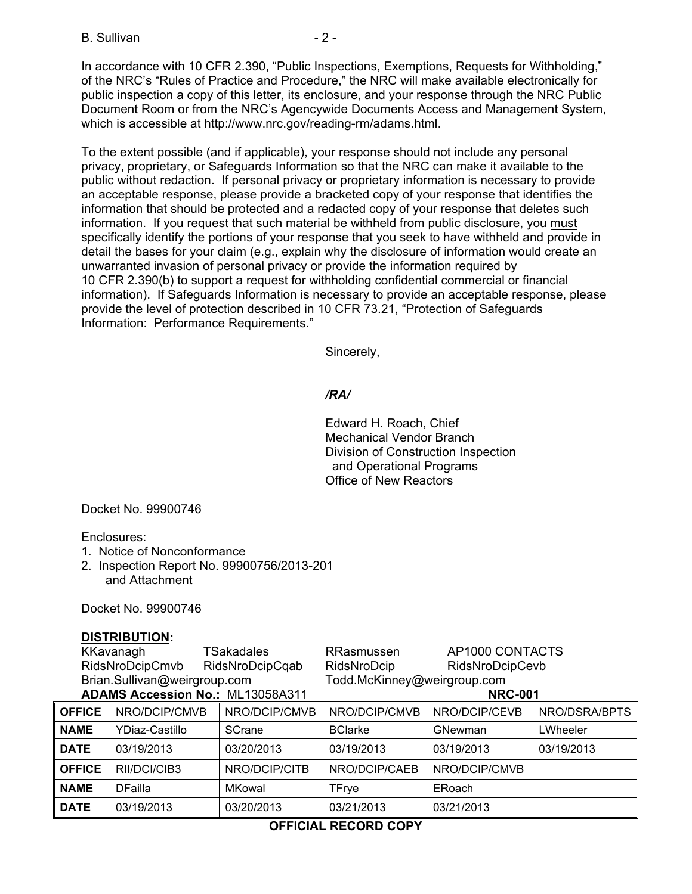B. Sullivan - 2 -

In accordance with 10 CFR 2.390, "Public Inspections, Exemptions, Requests for Withholding," of the NRC's "Rules of Practice and Procedure," the NRC will make available electronically for public inspection a copy of this letter, its enclosure, and your response through the NRC Public Document Room or from the NRC's Agencywide Documents Access and Management System, which is accessible at http://www.nrc.gov/reading-rm/adams.html.

To the extent possible (and if applicable), your response should not include any personal privacy, proprietary, or Safeguards Information so that the NRC can make it available to the public without redaction. If personal privacy or proprietary information is necessary to provide an acceptable response, please provide a bracketed copy of your response that identifies the information that should be protected and a redacted copy of your response that deletes such information. If you request that such material be withheld from public disclosure, you must specifically identify the portions of your response that you seek to have withheld and provide in detail the bases for your claim (e.g., explain why the disclosure of information would create an unwarranted invasion of personal privacy or provide the information required by 10 CFR 2.390(b) to support a request for withholding confidential commercial or financial information). If Safeguards Information is necessary to provide an acceptable response, please provide the level of protection described in 10 CFR 73.21, "Protection of Safeguards Information: Performance Requirements."

Sincerely,

### */RA/*

Edward H. Roach, Chief Mechanical Vendor Branch Division of Construction Inspection and Operational Programs Office of New Reactors

Docket No. 99900746

Enclosures:

- 1. Notice of Nonconformance
- 2. Inspection Report No. 99900756/2013-201 and Attachment

Docket No. 99900746

#### **DISTRIBUTION:**

KKavanagh TSakadales RRasmussen AP1000 CONTACTS RidsNroDcipCmvb RidsNroDcipCqab RidsNroDcip RidsNroDcipCevb Brian.Sullivan@weirgroup.com Todd.McKinney@weirgroup.com **ADAMS Accession No.:** ML13058A311 **NRC-001** 

| <b>OFFICE</b> | NRO/DCIP/CMVB  | NRO/DCIP/CMVB | NRO/DCIP/CMVB  | NRO/DCIP/CEVB | NRO/DSRA/BPTS |
|---------------|----------------|---------------|----------------|---------------|---------------|
| <b>NAME</b>   | YDiaz-Castillo | <b>SCrane</b> | <b>BClarke</b> | GNewman       | LWheeler      |
| <b>DATE</b>   | 03/19/2013     | 03/20/2013    | 03/19/2013     | 03/19/2013    | 03/19/2013    |
| <b>OFFICE</b> | RII/DCI/CIB3   | NRO/DCIP/CITB | NRO/DCIP/CAEB  | NRO/DCIP/CMVB |               |
| <b>NAME</b>   | <b>DFailla</b> | MKowal        | TFrye          | ERoach        |               |
| <b>DATE</b>   | 03/19/2013     | 03/20/2013    | 03/21/2013     | 03/21/2013    |               |

## **OFFICIAL RECORD COPY**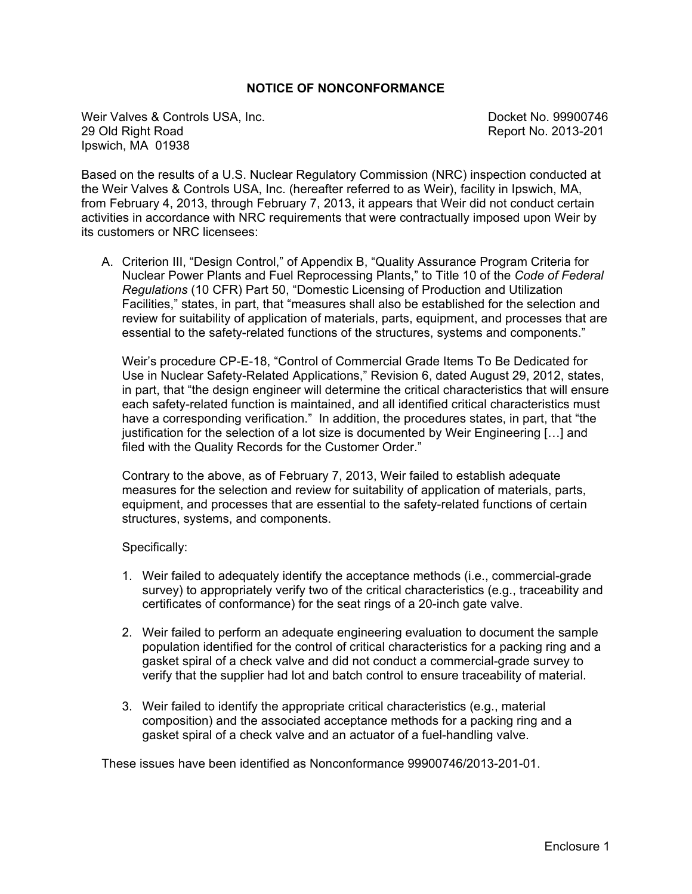#### **NOTICE OF NONCONFORMANCE**

Weir Valves & Controls USA, Inc. Docket No. 99900746 29 Old Right Road **Report No. 2013-201** Ipswich, MA 01938

Based on the results of a U.S. Nuclear Regulatory Commission (NRC) inspection conducted at the Weir Valves & Controls USA, Inc. (hereafter referred to as Weir), facility in Ipswich, MA, from February 4, 2013, through February 7, 2013, it appears that Weir did not conduct certain activities in accordance with NRC requirements that were contractually imposed upon Weir by its customers or NRC licensees:

A. Criterion III, "Design Control," of Appendix B, "Quality Assurance Program Criteria for Nuclear Power Plants and Fuel Reprocessing Plants," to Title 10 of the *Code of Federal Regulations* (10 CFR) Part 50, "Domestic Licensing of Production and Utilization Facilities," states, in part, that "measures shall also be established for the selection and review for suitability of application of materials, parts, equipment, and processes that are essential to the safety-related functions of the structures, systems and components."

Weir's procedure CP-E-18, "Control of Commercial Grade Items To Be Dedicated for Use in Nuclear Safety-Related Applications," Revision 6, dated August 29, 2012, states, in part, that "the design engineer will determine the critical characteristics that will ensure each safety-related function is maintained, and all identified critical characteristics must have a corresponding verification." In addition, the procedures states, in part, that "the justification for the selection of a lot size is documented by Weir Engineering [...] and filed with the Quality Records for the Customer Order."

Contrary to the above, as of February 7, 2013, Weir failed to establish adequate measures for the selection and review for suitability of application of materials, parts, equipment, and processes that are essential to the safety-related functions of certain structures, systems, and components.

Specifically:

- 1. Weir failed to adequately identify the acceptance methods (i.e., commercial-grade survey) to appropriately verify two of the critical characteristics (e.g., traceability and certificates of conformance) for the seat rings of a 20-inch gate valve.
- 2. Weir failed to perform an adequate engineering evaluation to document the sample population identified for the control of critical characteristics for a packing ring and a gasket spiral of a check valve and did not conduct a commercial-grade survey to verify that the supplier had lot and batch control to ensure traceability of material.
- 3. Weir failed to identify the appropriate critical characteristics (e.g., material composition) and the associated acceptance methods for a packing ring and a gasket spiral of a check valve and an actuator of a fuel-handling valve.

These issues have been identified as Nonconformance 99900746/2013-201-01.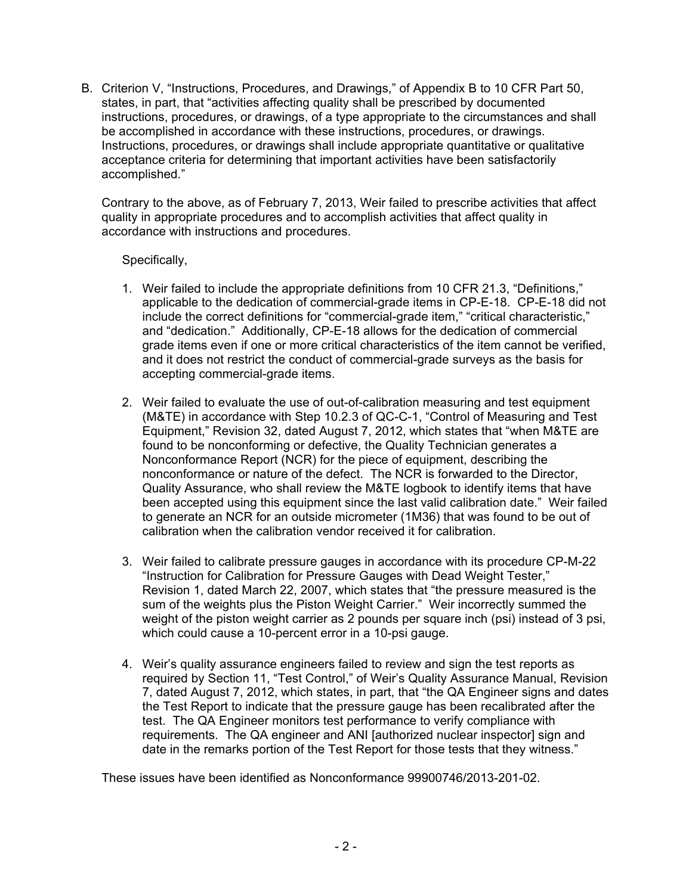B. Criterion V, "Instructions, Procedures, and Drawings," of Appendix B to 10 CFR Part 50, states, in part, that "activities affecting quality shall be prescribed by documented instructions, procedures, or drawings, of a type appropriate to the circumstances and shall be accomplished in accordance with these instructions, procedures, or drawings. Instructions, procedures, or drawings shall include appropriate quantitative or qualitative acceptance criteria for determining that important activities have been satisfactorily accomplished."

Contrary to the above, as of February 7, 2013, Weir failed to prescribe activities that affect quality in appropriate procedures and to accomplish activities that affect quality in accordance with instructions and procedures.

Specifically,

- 1. Weir failed to include the appropriate definitions from 10 CFR 21.3, "Definitions," applicable to the dedication of commercial-grade items in CP-E-18. CP-E-18 did not include the correct definitions for "commercial-grade item," "critical characteristic," and "dedication." Additionally, CP-E-18 allows for the dedication of commercial grade items even if one or more critical characteristics of the item cannot be verified, and it does not restrict the conduct of commercial-grade surveys as the basis for accepting commercial-grade items.
- 2. Weir failed to evaluate the use of out-of-calibration measuring and test equipment (M&TE) in accordance with Step 10.2.3 of QC-C-1, "Control of Measuring and Test Equipment," Revision 32, dated August 7, 2012, which states that "when M&TE are found to be nonconforming or defective, the Quality Technician generates a Nonconformance Report (NCR) for the piece of equipment, describing the nonconformance or nature of the defect. The NCR is forwarded to the Director, Quality Assurance, who shall review the M&TE logbook to identify items that have been accepted using this equipment since the last valid calibration date." Weir failed to generate an NCR for an outside micrometer (1M36) that was found to be out of calibration when the calibration vendor received it for calibration.
- 3. Weir failed to calibrate pressure gauges in accordance with its procedure CP-M-22 "Instruction for Calibration for Pressure Gauges with Dead Weight Tester," Revision 1, dated March 22, 2007, which states that "the pressure measured is the sum of the weights plus the Piston Weight Carrier." Weir incorrectly summed the weight of the piston weight carrier as 2 pounds per square inch (psi) instead of 3 psi, which could cause a 10-percent error in a 10-psi gauge.
- 4. Weir's quality assurance engineers failed to review and sign the test reports as required by Section 11, "Test Control," of Weir's Quality Assurance Manual, Revision 7, dated August 7, 2012, which states, in part, that "the QA Engineer signs and dates the Test Report to indicate that the pressure gauge has been recalibrated after the test. The QA Engineer monitors test performance to verify compliance with requirements. The QA engineer and ANI [authorized nuclear inspector] sign and date in the remarks portion of the Test Report for those tests that they witness."

These issues have been identified as Nonconformance 99900746/2013-201-02.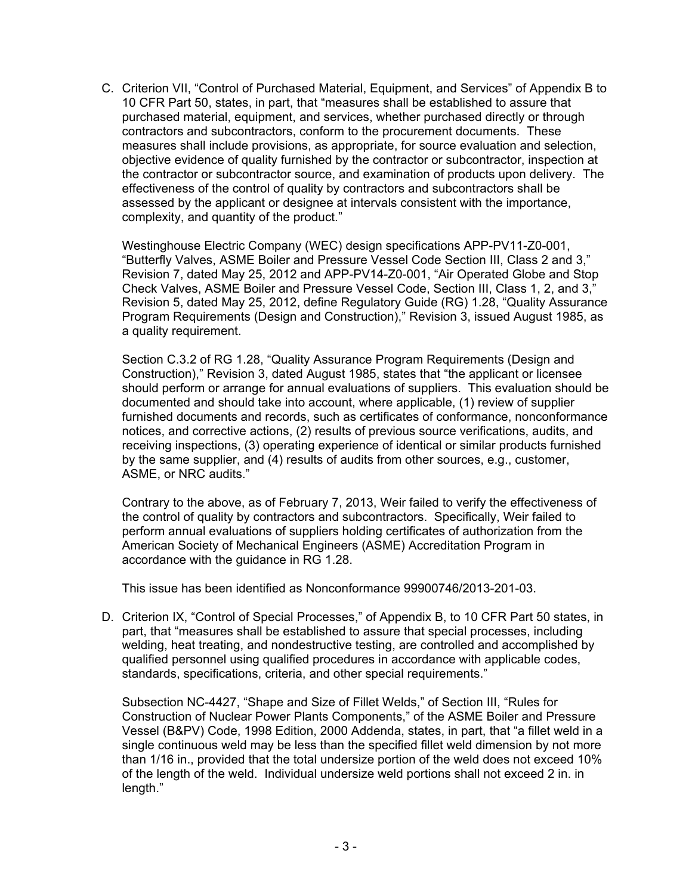C. Criterion VII, "Control of Purchased Material, Equipment, and Services" of Appendix B to 10 CFR Part 50, states, in part, that "measures shall be established to assure that purchased material, equipment, and services, whether purchased directly or through contractors and subcontractors, conform to the procurement documents. These measures shall include provisions, as appropriate, for source evaluation and selection, objective evidence of quality furnished by the contractor or subcontractor, inspection at the contractor or subcontractor source, and examination of products upon delivery. The effectiveness of the control of quality by contractors and subcontractors shall be assessed by the applicant or designee at intervals consistent with the importance, complexity, and quantity of the product."

Westinghouse Electric Company (WEC) design specifications APP-PV11-Z0-001, "Butterfly Valves, ASME Boiler and Pressure Vessel Code Section III, Class 2 and 3," Revision 7, dated May 25, 2012 and APP-PV14-Z0-001, "Air Operated Globe and Stop Check Valves, ASME Boiler and Pressure Vessel Code, Section III, Class 1, 2, and 3," Revision 5, dated May 25, 2012, define Regulatory Guide (RG) 1.28, "Quality Assurance Program Requirements (Design and Construction)," Revision 3, issued August 1985, as a quality requirement.

Section C.3.2 of RG 1.28, "Quality Assurance Program Requirements (Design and Construction)," Revision 3, dated August 1985, states that "the applicant or licensee should perform or arrange for annual evaluations of suppliers. This evaluation should be documented and should take into account, where applicable, (1) review of supplier furnished documents and records, such as certificates of conformance, nonconformance notices, and corrective actions, (2) results of previous source verifications, audits, and receiving inspections, (3) operating experience of identical or similar products furnished by the same supplier, and (4) results of audits from other sources, e.g., customer, ASME, or NRC audits."

Contrary to the above, as of February 7, 2013, Weir failed to verify the effectiveness of the control of quality by contractors and subcontractors. Specifically, Weir failed to perform annual evaluations of suppliers holding certificates of authorization from the American Society of Mechanical Engineers (ASME) Accreditation Program in accordance with the guidance in RG 1.28.

This issue has been identified as Nonconformance 99900746/2013-201-03.

D. Criterion IX, "Control of Special Processes," of Appendix B, to 10 CFR Part 50 states, in part, that "measures shall be established to assure that special processes, including welding, heat treating, and nondestructive testing, are controlled and accomplished by qualified personnel using qualified procedures in accordance with applicable codes, standards, specifications, criteria, and other special requirements."

Subsection NC-4427, "Shape and Size of Fillet Welds," of Section III, "Rules for Construction of Nuclear Power Plants Components," of the ASME Boiler and Pressure Vessel (B&PV) Code, 1998 Edition, 2000 Addenda, states, in part, that "a fillet weld in a single continuous weld may be less than the specified fillet weld dimension by not more than 1/16 in., provided that the total undersize portion of the weld does not exceed 10% of the length of the weld. Individual undersize weld portions shall not exceed 2 in. in length."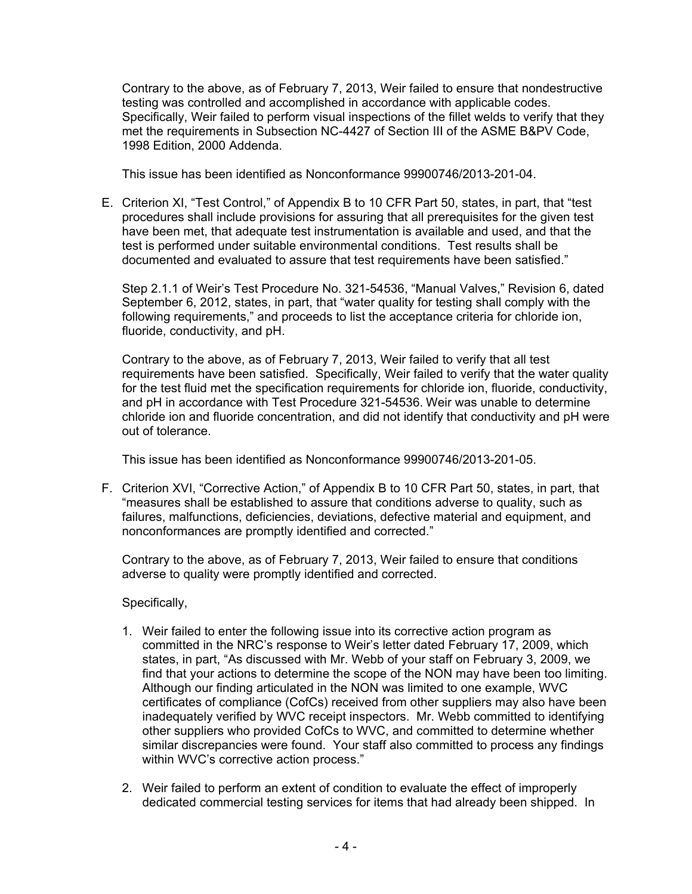Contrary to the above, as of February 7, 2013, Weir failed to ensure that nondestructive testing was controlled and accomplished in accordance with applicable codes. Specifically, Weir failed to perform visual inspections of the fillet welds to verify that they met the requirements in Subsection NC-4427 of Section III of the ASME B&PV Code, 1998 Edition, 2000 Addenda.

This issue has been identified as Nonconformance 99900746/2013-201-04.

E. Criterion XI, "Test Control," of Appendix B to 10 CFR Part 50, states, in part, that "test procedures shall include provisions for assuring that all prerequisites for the given test have been met, that adequate test instrumentation is available and used, and that the test is performed under suitable environmental conditions. Test results shall be documented and evaluated to assure that test requirements have been satisfied."

Step 2.1.1 of Weir's Test Procedure No. 321-54536, "Manual Valves," Revision 6, dated September 6, 2012, states, in part, that "water quality for testing shall comply with the following requirements," and proceeds to list the acceptance criteria for chloride ion, fluoride, conductivity, and pH.

Contrary to the above, as of February 7, 2013, Weir failed to verify that all test requirements have been satisfied. Specifically, Weir failed to verify that the water quality for the test fluid met the specification requirements for chloride ion, fluoride, conductivity, and pH in accordance with Test Procedure 321-54536. Weir was unable to determine chloride ion and fluoride concentration, and did not identify that conductivity and pH were out of tolerance.

This issue has been identified as Nonconformance 99900746/2013-201-05.

F. Criterion XVI, "Corrective Action," of Appendix B to 10 CFR Part 50, states, in part, that "measures shall be established to assure that conditions adverse to quality, such as failures, malfunctions, deficiencies, deviations, defective material and equipment, and nonconformances are promptly identified and corrected."

Contrary to the above, as of February 7, 2013, Weir failed to ensure that conditions adverse to quality were promptly identified and corrected.

## Specifically,

- 1. Weir failed to enter the following issue into its corrective action program as committed in the NRC's response to Weir's letter dated February 17, 2009, which states, in part, "As discussed with Mr. Webb of your staff on February 3, 2009, we find that your actions to determine the scope of the NON may have been too limiting. Although our finding articulated in the NON was limited to one example, WVC certificates of compliance (CofCs) received from other suppliers may also have been inadequately verified by WVC receipt inspectors. Mr. Webb committed to identifying other suppliers who provided CofCs to WVC, and committed to determine whether similar discrepancies were found. Your staff also committed to process any findings within WVC's corrective action process."
- 2. Weir failed to perform an extent of condition to evaluate the effect of improperly dedicated commercial testing services for items that had already been shipped. In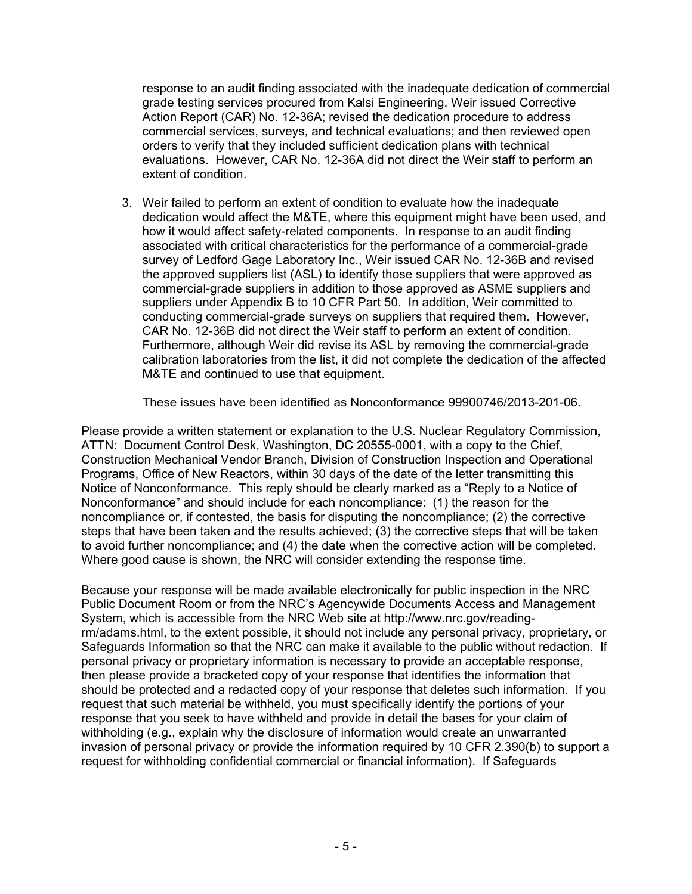response to an audit finding associated with the inadequate dedication of commercial grade testing services procured from Kalsi Engineering, Weir issued Corrective Action Report (CAR) No. 12-36A; revised the dedication procedure to address commercial services, surveys, and technical evaluations; and then reviewed open orders to verify that they included sufficient dedication plans with technical evaluations. However, CAR No. 12-36A did not direct the Weir staff to perform an extent of condition.

3. Weir failed to perform an extent of condition to evaluate how the inadequate dedication would affect the M&TE, where this equipment might have been used, and how it would affect safety-related components. In response to an audit finding associated with critical characteristics for the performance of a commercial-grade survey of Ledford Gage Laboratory Inc., Weir issued CAR No. 12-36B and revised the approved suppliers list (ASL) to identify those suppliers that were approved as commercial-grade suppliers in addition to those approved as ASME suppliers and suppliers under Appendix B to 10 CFR Part 50. In addition, Weir committed to conducting commercial-grade surveys on suppliers that required them. However, CAR No. 12-36B did not direct the Weir staff to perform an extent of condition. Furthermore, although Weir did revise its ASL by removing the commercial-grade calibration laboratories from the list, it did not complete the dedication of the affected M&TE and continued to use that equipment.

These issues have been identified as Nonconformance 99900746/2013-201-06.

Please provide a written statement or explanation to the U.S. Nuclear Regulatory Commission, ATTN: Document Control Desk, Washington, DC 20555-0001, with a copy to the Chief, Construction Mechanical Vendor Branch, Division of Construction Inspection and Operational Programs, Office of New Reactors, within 30 days of the date of the letter transmitting this Notice of Nonconformance. This reply should be clearly marked as a "Reply to a Notice of Nonconformance" and should include for each noncompliance: (1) the reason for the noncompliance or, if contested, the basis for disputing the noncompliance; (2) the corrective steps that have been taken and the results achieved; (3) the corrective steps that will be taken to avoid further noncompliance; and (4) the date when the corrective action will be completed. Where good cause is shown, the NRC will consider extending the response time.

Because your response will be made available electronically for public inspection in the NRC Public Document Room or from the NRC's Agencywide Documents Access and Management System, which is accessible from the NRC Web site at http://www.nrc.gov/readingrm/adams.html, to the extent possible, it should not include any personal privacy, proprietary, or Safeguards Information so that the NRC can make it available to the public without redaction. If personal privacy or proprietary information is necessary to provide an acceptable response, then please provide a bracketed copy of your response that identifies the information that should be protected and a redacted copy of your response that deletes such information. If you request that such material be withheld, you must specifically identify the portions of your response that you seek to have withheld and provide in detail the bases for your claim of withholding (e.g., explain why the disclosure of information would create an unwarranted invasion of personal privacy or provide the information required by 10 CFR 2.390(b) to support a request for withholding confidential commercial or financial information). If Safeguards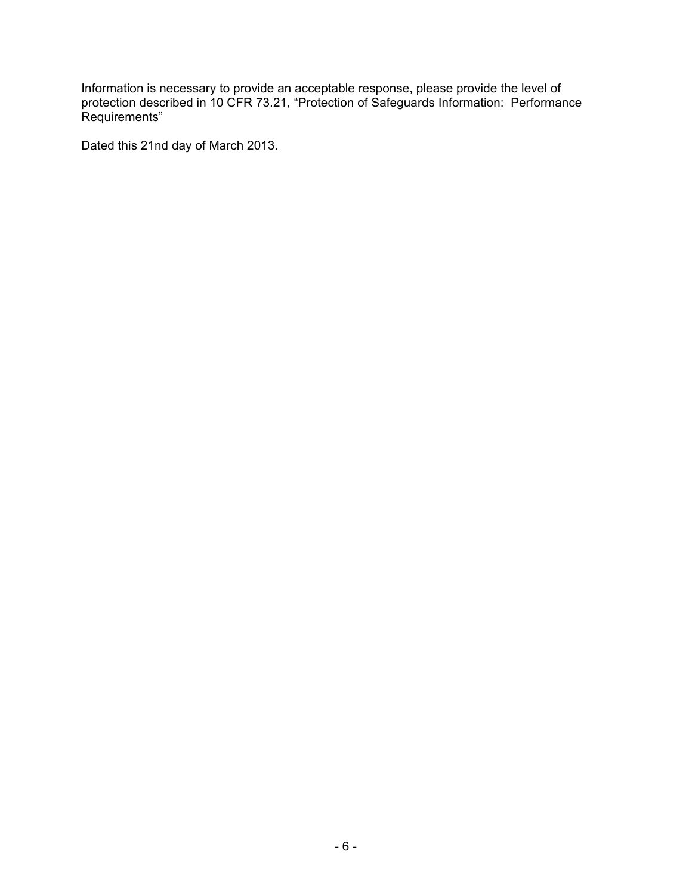Information is necessary to provide an acceptable response, please provide the level of protection described in 10 CFR 73.21, "Protection of Safeguards Information: Performance Requirements"

Dated this 21nd day of March 2013.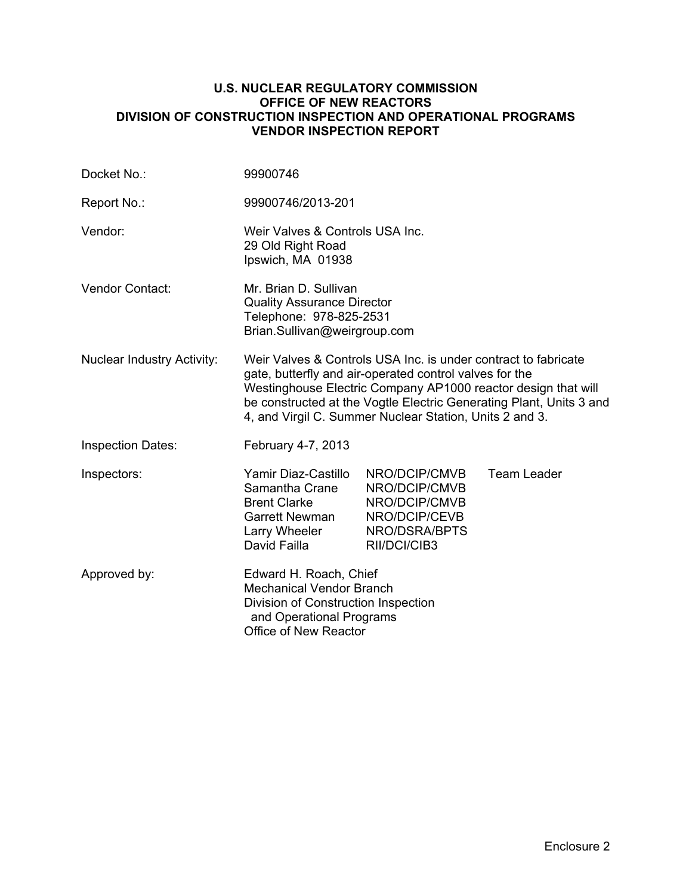#### **U.S. NUCLEAR REGULATORY COMMISSION OFFICE OF NEW REACTORS DIVISION OF CONSTRUCTION INSPECTION AND OPERATIONAL PROGRAMS VENDOR INSPECTION REPORT**

| Docket No.:                       | 99900746                                                                                                                                                                                                                                                                                                                     |                                                                                                   |                    |
|-----------------------------------|------------------------------------------------------------------------------------------------------------------------------------------------------------------------------------------------------------------------------------------------------------------------------------------------------------------------------|---------------------------------------------------------------------------------------------------|--------------------|
| Report No.:                       | 99900746/2013-201                                                                                                                                                                                                                                                                                                            |                                                                                                   |                    |
| Vendor:                           | Weir Valves & Controls USA Inc.<br>29 Old Right Road<br>Ipswich, MA 01938                                                                                                                                                                                                                                                    |                                                                                                   |                    |
| Vendor Contact:                   | Mr. Brian D. Sullivan<br><b>Quality Assurance Director</b><br>Telephone: 978-825-2531<br>Brian.Sullivan@weirgroup.com                                                                                                                                                                                                        |                                                                                                   |                    |
| <b>Nuclear Industry Activity:</b> | Weir Valves & Controls USA Inc. is under contract to fabricate<br>gate, butterfly and air-operated control valves for the<br>Westinghouse Electric Company AP1000 reactor design that will<br>be constructed at the Vogtle Electric Generating Plant, Units 3 and<br>4, and Virgil C. Summer Nuclear Station, Units 2 and 3. |                                                                                                   |                    |
| <b>Inspection Dates:</b>          | February 4-7, 2013                                                                                                                                                                                                                                                                                                           |                                                                                                   |                    |
| Inspectors:                       | Yamir Diaz-Castillo<br>Samantha Crane<br><b>Brent Clarke</b><br>Garrett Newman<br>Larry Wheeler<br>David Failla                                                                                                                                                                                                              | NRO/DCIP/CMVB<br>NRO/DCIP/CMVB<br>NRO/DCIP/CMVB<br>NRO/DCIP/CEVB<br>NRO/DSRA/BPTS<br>RII/DCI/CIB3 | <b>Team Leader</b> |
| Approved by:                      | Edward H. Roach, Chief<br><b>Mechanical Vendor Branch</b><br>Division of Construction Inspection<br>and Operational Programs<br>Office of New Reactor                                                                                                                                                                        |                                                                                                   |                    |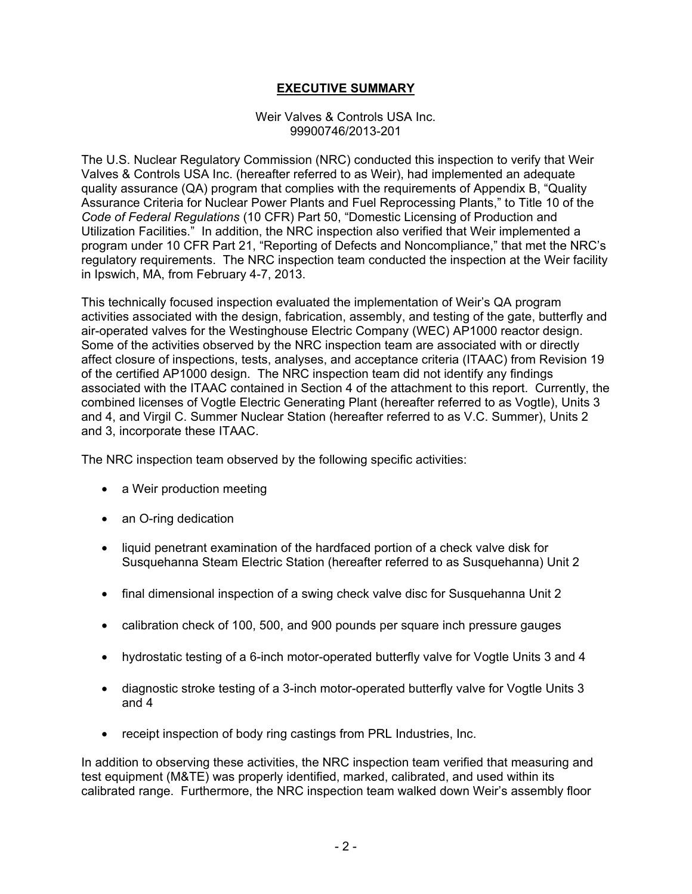### **EXECUTIVE SUMMARY**

#### Weir Valves & Controls USA Inc. 99900746/2013-201

The U.S. Nuclear Regulatory Commission (NRC) conducted this inspection to verify that Weir Valves & Controls USA Inc. (hereafter referred to as Weir), had implemented an adequate quality assurance (QA) program that complies with the requirements of Appendix B, "Quality Assurance Criteria for Nuclear Power Plants and Fuel Reprocessing Plants," to Title 10 of the *Code of Federal Regulations* (10 CFR) Part 50, "Domestic Licensing of Production and Utilization Facilities." In addition, the NRC inspection also verified that Weir implemented a program under 10 CFR Part 21, "Reporting of Defects and Noncompliance," that met the NRC's regulatory requirements. The NRC inspection team conducted the inspection at the Weir facility in Ipswich, MA, from February 4-7, 2013.

This technically focused inspection evaluated the implementation of Weir's QA program activities associated with the design, fabrication, assembly, and testing of the gate, butterfly and air-operated valves for the Westinghouse Electric Company (WEC) AP1000 reactor design. Some of the activities observed by the NRC inspection team are associated with or directly affect closure of inspections, tests, analyses, and acceptance criteria (ITAAC) from Revision 19 of the certified AP1000 design. The NRC inspection team did not identify any findings associated with the ITAAC contained in Section 4 of the attachment to this report. Currently, the combined licenses of Vogtle Electric Generating Plant (hereafter referred to as Vogtle), Units 3 and 4, and Virgil C. Summer Nuclear Station (hereafter referred to as V.C. Summer), Units 2 and 3, incorporate these ITAAC.

The NRC inspection team observed by the following specific activities:

- a Weir production meeting
- an O-ring dedication
- liquid penetrant examination of the hardfaced portion of a check valve disk for Susquehanna Steam Electric Station (hereafter referred to as Susquehanna) Unit 2
- final dimensional inspection of a swing check valve disc for Susquehanna Unit 2
- calibration check of 100, 500, and 900 pounds per square inch pressure gauges
- hydrostatic testing of a 6-inch motor-operated butterfly valve for Vogtle Units 3 and 4
- diagnostic stroke testing of a 3-inch motor-operated butterfly valve for Vogtle Units 3 and 4
- receipt inspection of body ring castings from PRL Industries, Inc.

In addition to observing these activities, the NRC inspection team verified that measuring and test equipment (M&TE) was properly identified, marked, calibrated, and used within its calibrated range. Furthermore, the NRC inspection team walked down Weir's assembly floor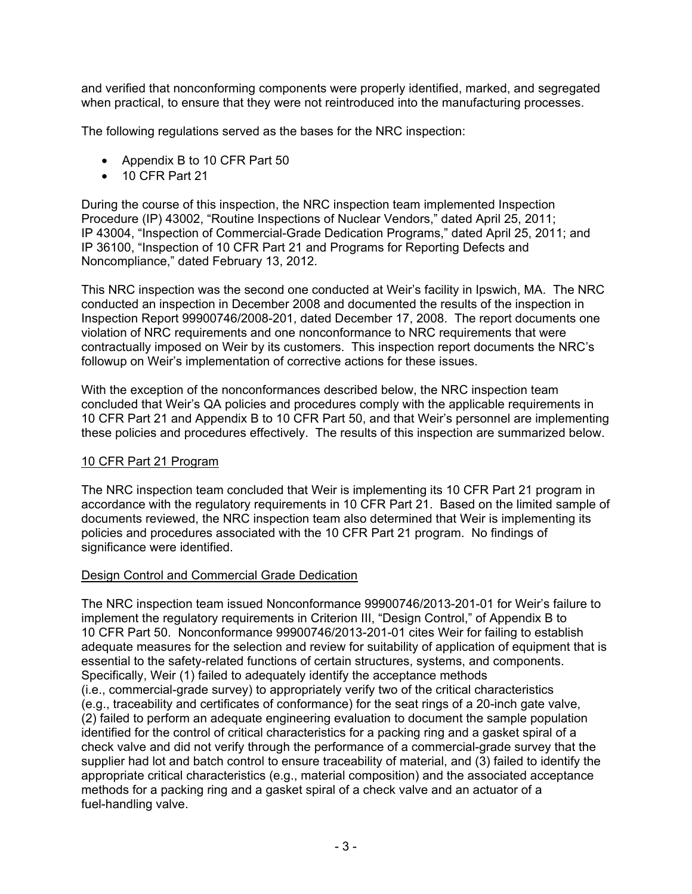and verified that nonconforming components were properly identified, marked, and segregated when practical, to ensure that they were not reintroduced into the manufacturing processes.

The following regulations served as the bases for the NRC inspection:

- Appendix B to 10 CFR Part 50
- 10 CFR Part 21

During the course of this inspection, the NRC inspection team implemented Inspection Procedure (IP) 43002, "Routine Inspections of Nuclear Vendors," dated April 25, 2011; IP 43004, "Inspection of Commercial-Grade Dedication Programs," dated April 25, 2011; and IP 36100, "Inspection of 10 CFR Part 21 and Programs for Reporting Defects and Noncompliance," dated February 13, 2012.

This NRC inspection was the second one conducted at Weir's facility in Ipswich, MA. The NRC conducted an inspection in December 2008 and documented the results of the inspection in Inspection Report 99900746/2008-201, dated December 17, 2008. The report documents one violation of NRC requirements and one nonconformance to NRC requirements that were contractually imposed on Weir by its customers. This inspection report documents the NRC's followup on Weir's implementation of corrective actions for these issues.

With the exception of the nonconformances described below, the NRC inspection team concluded that Weir's QA policies and procedures comply with the applicable requirements in 10 CFR Part 21 and Appendix B to 10 CFR Part 50, and that Weir's personnel are implementing these policies and procedures effectively. The results of this inspection are summarized below.

#### 10 CFR Part 21 Program

The NRC inspection team concluded that Weir is implementing its 10 CFR Part 21 program in accordance with the regulatory requirements in 10 CFR Part 21. Based on the limited sample of documents reviewed, the NRC inspection team also determined that Weir is implementing its policies and procedures associated with the 10 CFR Part 21 program. No findings of significance were identified.

#### Design Control and Commercial Grade Dedication

The NRC inspection team issued Nonconformance 99900746/2013-201-01 for Weir's failure to implement the regulatory requirements in Criterion III, "Design Control," of Appendix B to 10 CFR Part 50. Nonconformance 99900746/2013-201-01 cites Weir for failing to establish adequate measures for the selection and review for suitability of application of equipment that is essential to the safety-related functions of certain structures, systems, and components. Specifically, Weir (1) failed to adequately identify the acceptance methods (i.e., commercial-grade survey) to appropriately verify two of the critical characteristics (e.g., traceability and certificates of conformance) for the seat rings of a 20-inch gate valve, (2) failed to perform an adequate engineering evaluation to document the sample population identified for the control of critical characteristics for a packing ring and a gasket spiral of a check valve and did not verify through the performance of a commercial-grade survey that the supplier had lot and batch control to ensure traceability of material, and (3) failed to identify the appropriate critical characteristics (e.g., material composition) and the associated acceptance methods for a packing ring and a gasket spiral of a check valve and an actuator of a fuel-handling valve.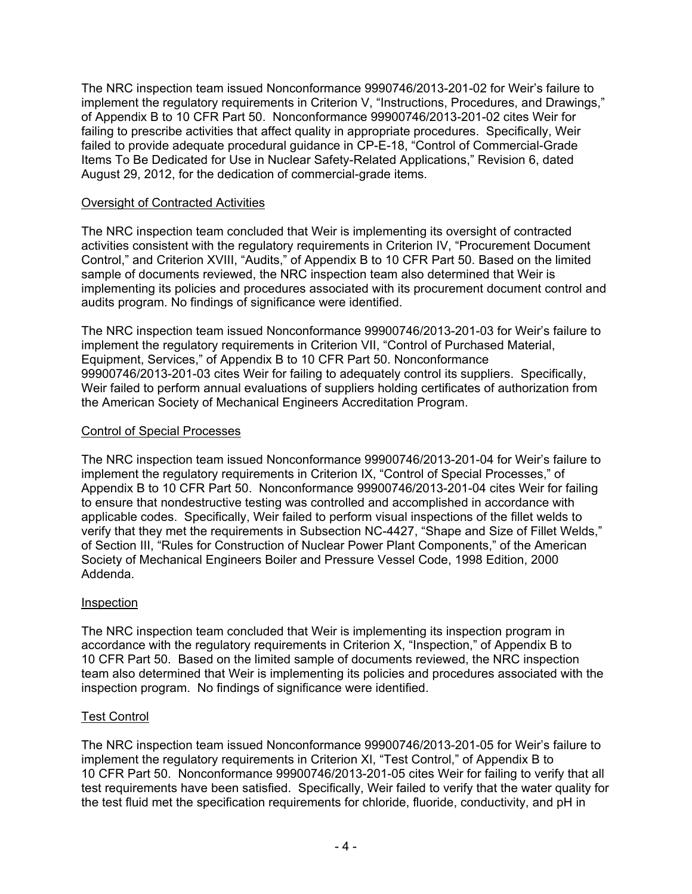The NRC inspection team issued Nonconformance 9990746/2013-201-02 for Weir's failure to implement the regulatory requirements in Criterion V, "Instructions, Procedures, and Drawings," of Appendix B to 10 CFR Part 50. Nonconformance 99900746/2013-201-02 cites Weir for failing to prescribe activities that affect quality in appropriate procedures. Specifically, Weir failed to provide adequate procedural guidance in CP-E-18, "Control of Commercial-Grade Items To Be Dedicated for Use in Nuclear Safety-Related Applications," Revision 6, dated August 29, 2012, for the dedication of commercial-grade items.

#### Oversight of Contracted Activities

The NRC inspection team concluded that Weir is implementing its oversight of contracted activities consistent with the regulatory requirements in Criterion IV, "Procurement Document Control," and Criterion XVIII, "Audits," of Appendix B to 10 CFR Part 50. Based on the limited sample of documents reviewed, the NRC inspection team also determined that Weir is implementing its policies and procedures associated with its procurement document control and audits program. No findings of significance were identified.

The NRC inspection team issued Nonconformance 99900746/2013-201-03 for Weir's failure to implement the regulatory requirements in Criterion VII, "Control of Purchased Material, Equipment, Services," of Appendix B to 10 CFR Part 50. Nonconformance 99900746/2013-201-03 cites Weir for failing to adequately control its suppliers. Specifically, Weir failed to perform annual evaluations of suppliers holding certificates of authorization from the American Society of Mechanical Engineers Accreditation Program.

### Control of Special Processes

The NRC inspection team issued Nonconformance 99900746/2013-201-04 for Weir's failure to implement the regulatory requirements in Criterion IX, "Control of Special Processes," of Appendix B to 10 CFR Part 50. Nonconformance 99900746/2013-201-04 cites Weir for failing to ensure that nondestructive testing was controlled and accomplished in accordance with applicable codes. Specifically, Weir failed to perform visual inspections of the fillet welds to verify that they met the requirements in Subsection NC-4427, "Shape and Size of Fillet Welds," of Section III, "Rules for Construction of Nuclear Power Plant Components," of the American Society of Mechanical Engineers Boiler and Pressure Vessel Code, 1998 Edition, 2000 Addenda.

## Inspection

The NRC inspection team concluded that Weir is implementing its inspection program in accordance with the regulatory requirements in Criterion X, "Inspection," of Appendix B to 10 CFR Part 50. Based on the limited sample of documents reviewed, the NRC inspection team also determined that Weir is implementing its policies and procedures associated with the inspection program. No findings of significance were identified.

#### Test Control

The NRC inspection team issued Nonconformance 99900746/2013-201-05 for Weir's failure to implement the regulatory requirements in Criterion XI, "Test Control," of Appendix B to 10 CFR Part 50. Nonconformance 99900746/2013-201-05 cites Weir for failing to verify that all test requirements have been satisfied. Specifically, Weir failed to verify that the water quality for the test fluid met the specification requirements for chloride, fluoride, conductivity, and pH in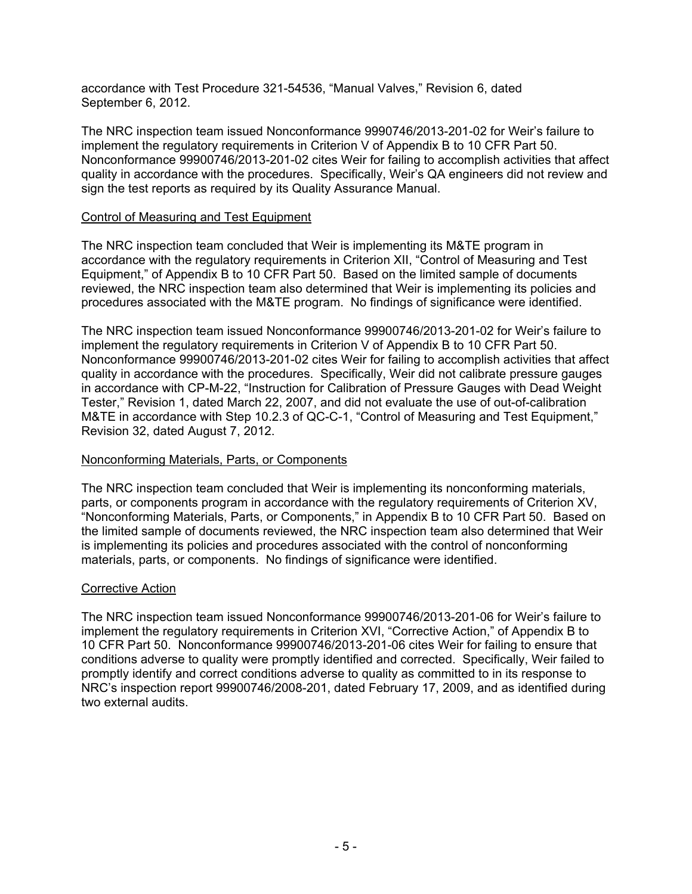accordance with Test Procedure 321-54536, "Manual Valves," Revision 6, dated September 6, 2012.

The NRC inspection team issued Nonconformance 9990746/2013-201-02 for Weir's failure to implement the regulatory requirements in Criterion V of Appendix B to 10 CFR Part 50. Nonconformance 99900746/2013-201-02 cites Weir for failing to accomplish activities that affect quality in accordance with the procedures. Specifically, Weir's QA engineers did not review and sign the test reports as required by its Quality Assurance Manual.

#### Control of Measuring and Test Equipment

The NRC inspection team concluded that Weir is implementing its M&TE program in accordance with the regulatory requirements in Criterion XII, "Control of Measuring and Test Equipment," of Appendix B to 10 CFR Part 50. Based on the limited sample of documents reviewed, the NRC inspection team also determined that Weir is implementing its policies and procedures associated with the M&TE program. No findings of significance were identified.

The NRC inspection team issued Nonconformance 99900746/2013-201-02 for Weir's failure to implement the regulatory requirements in Criterion V of Appendix B to 10 CFR Part 50. Nonconformance 99900746/2013-201-02 cites Weir for failing to accomplish activities that affect quality in accordance with the procedures. Specifically, Weir did not calibrate pressure gauges in accordance with CP-M-22, "Instruction for Calibration of Pressure Gauges with Dead Weight Tester," Revision 1, dated March 22, 2007, and did not evaluate the use of out-of-calibration M&TE in accordance with Step 10.2.3 of QC-C-1, "Control of Measuring and Test Equipment," Revision 32, dated August 7, 2012.

#### Nonconforming Materials, Parts, or Components

The NRC inspection team concluded that Weir is implementing its nonconforming materials, parts, or components program in accordance with the regulatory requirements of Criterion XV, "Nonconforming Materials, Parts, or Components," in Appendix B to 10 CFR Part 50. Based on the limited sample of documents reviewed, the NRC inspection team also determined that Weir is implementing its policies and procedures associated with the control of nonconforming materials, parts, or components. No findings of significance were identified.

#### Corrective Action

The NRC inspection team issued Nonconformance 99900746/2013-201-06 for Weir's failure to implement the regulatory requirements in Criterion XVI, "Corrective Action," of Appendix B to 10 CFR Part 50. Nonconformance 99900746/2013-201-06 cites Weir for failing to ensure that conditions adverse to quality were promptly identified and corrected. Specifically, Weir failed to promptly identify and correct conditions adverse to quality as committed to in its response to NRC's inspection report 99900746/2008-201, dated February 17, 2009, and as identified during two external audits.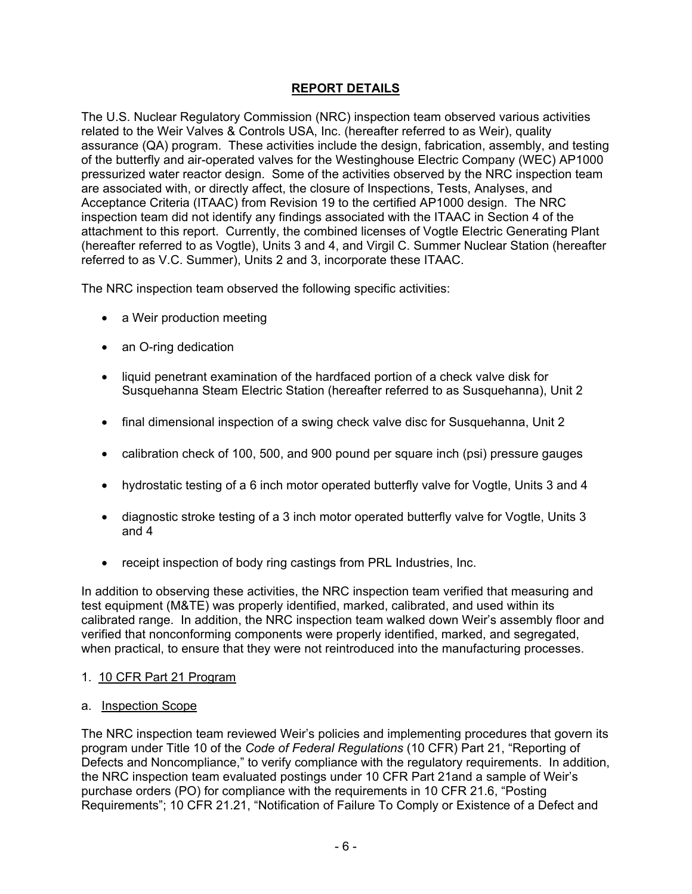# **REPORT DETAILS**

The U.S. Nuclear Regulatory Commission (NRC) inspection team observed various activities related to the Weir Valves & Controls USA, Inc. (hereafter referred to as Weir), quality assurance (QA) program. These activities include the design, fabrication, assembly, and testing of the butterfly and air-operated valves for the Westinghouse Electric Company (WEC) AP1000 pressurized water reactor design. Some of the activities observed by the NRC inspection team are associated with, or directly affect, the closure of Inspections, Tests, Analyses, and Acceptance Criteria (ITAAC) from Revision 19 to the certified AP1000 design. The NRC inspection team did not identify any findings associated with the ITAAC in Section 4 of the attachment to this report. Currently, the combined licenses of Vogtle Electric Generating Plant (hereafter referred to as Vogtle), Units 3 and 4, and Virgil C. Summer Nuclear Station (hereafter referred to as V.C. Summer), Units 2 and 3, incorporate these ITAAC.

The NRC inspection team observed the following specific activities:

- a Weir production meeting
- an O-ring dedication
- liquid penetrant examination of the hardfaced portion of a check valve disk for Susquehanna Steam Electric Station (hereafter referred to as Susquehanna), Unit 2
- final dimensional inspection of a swing check valve disc for Susquehanna, Unit 2
- calibration check of 100, 500, and 900 pound per square inch (psi) pressure gauges
- hydrostatic testing of a 6 inch motor operated butterfly valve for Vogtle, Units 3 and 4
- diagnostic stroke testing of a 3 inch motor operated butterfly valve for Vogtle, Units 3 and 4
- receipt inspection of body ring castings from PRL Industries, Inc.

In addition to observing these activities, the NRC inspection team verified that measuring and test equipment (M&TE) was properly identified, marked, calibrated, and used within its calibrated range. In addition, the NRC inspection team walked down Weir's assembly floor and verified that nonconforming components were properly identified, marked, and segregated, when practical, to ensure that they were not reintroduced into the manufacturing processes.

## 1. 10 CFR Part 21 Program

a. Inspection Scope

The NRC inspection team reviewed Weir's policies and implementing procedures that govern its program under Title 10 of the *Code of Federal Regulations* (10 CFR) Part 21, "Reporting of Defects and Noncompliance," to verify compliance with the regulatory requirements. In addition, the NRC inspection team evaluated postings under 10 CFR Part 21and a sample of Weir's purchase orders (PO) for compliance with the requirements in 10 CFR 21.6, "Posting Requirements"; 10 CFR 21.21, "Notification of Failure To Comply or Existence of a Defect and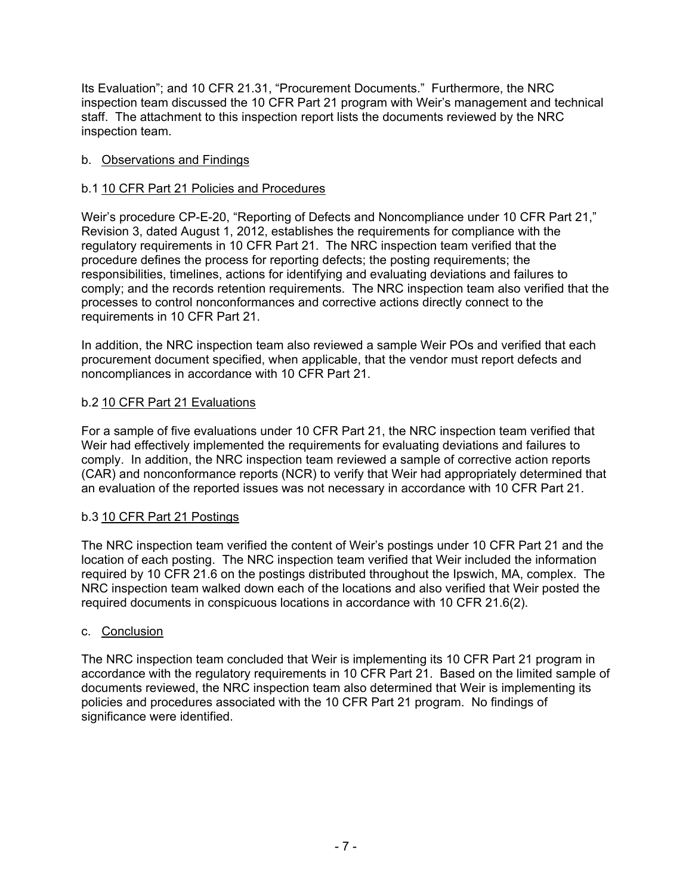Its Evaluation"; and 10 CFR 21.31, "Procurement Documents." Furthermore, the NRC inspection team discussed the 10 CFR Part 21 program with Weir's management and technical staff. The attachment to this inspection report lists the documents reviewed by the NRC inspection team.

### b. Observations and Findings

### b.1 10 CFR Part 21 Policies and Procedures

Weir's procedure CP-E-20, "Reporting of Defects and Noncompliance under 10 CFR Part 21," Revision 3, dated August 1, 2012, establishes the requirements for compliance with the regulatory requirements in 10 CFR Part 21. The NRC inspection team verified that the procedure defines the process for reporting defects; the posting requirements; the responsibilities, timelines, actions for identifying and evaluating deviations and failures to comply; and the records retention requirements. The NRC inspection team also verified that the processes to control nonconformances and corrective actions directly connect to the requirements in 10 CFR Part 21.

In addition, the NRC inspection team also reviewed a sample Weir POs and verified that each procurement document specified, when applicable, that the vendor must report defects and noncompliances in accordance with 10 CFR Part 21.

## b.2 10 CFR Part 21 Evaluations

For a sample of five evaluations under 10 CFR Part 21, the NRC inspection team verified that Weir had effectively implemented the requirements for evaluating deviations and failures to comply. In addition, the NRC inspection team reviewed a sample of corrective action reports (CAR) and nonconformance reports (NCR) to verify that Weir had appropriately determined that an evaluation of the reported issues was not necessary in accordance with 10 CFR Part 21.

#### b.3 10 CFR Part 21 Postings

The NRC inspection team verified the content of Weir's postings under 10 CFR Part 21 and the location of each posting. The NRC inspection team verified that Weir included the information required by 10 CFR 21.6 on the postings distributed throughout the Ipswich, MA, complex. The NRC inspection team walked down each of the locations and also verified that Weir posted the required documents in conspicuous locations in accordance with 10 CFR 21.6(2).

#### c. Conclusion

The NRC inspection team concluded that Weir is implementing its 10 CFR Part 21 program in accordance with the regulatory requirements in 10 CFR Part 21. Based on the limited sample of documents reviewed, the NRC inspection team also determined that Weir is implementing its policies and procedures associated with the 10 CFR Part 21 program. No findings of significance were identified.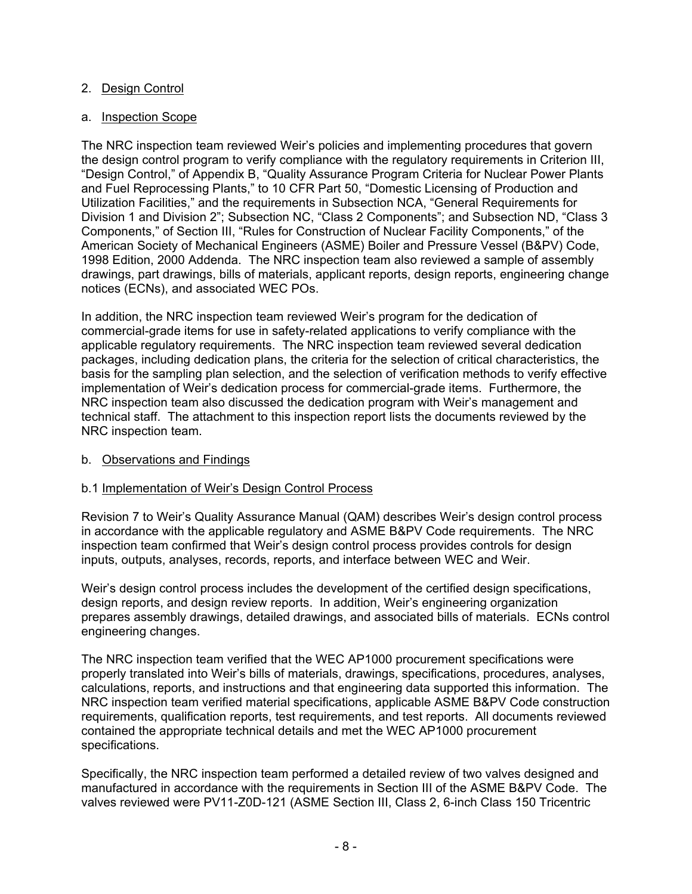### 2. Design Control

#### a. Inspection Scope

The NRC inspection team reviewed Weir's policies and implementing procedures that govern the design control program to verify compliance with the regulatory requirements in Criterion III, "Design Control," of Appendix B, "Quality Assurance Program Criteria for Nuclear Power Plants and Fuel Reprocessing Plants," to 10 CFR Part 50, "Domestic Licensing of Production and Utilization Facilities," and the requirements in Subsection NCA, "General Requirements for Division 1 and Division 2"; Subsection NC, "Class 2 Components"; and Subsection ND, "Class 3 Components," of Section III, "Rules for Construction of Nuclear Facility Components," of the American Society of Mechanical Engineers (ASME) Boiler and Pressure Vessel (B&PV) Code, 1998 Edition, 2000 Addenda. The NRC inspection team also reviewed a sample of assembly drawings, part drawings, bills of materials, applicant reports, design reports, engineering change notices (ECNs), and associated WEC POs.

In addition, the NRC inspection team reviewed Weir's program for the dedication of commercial-grade items for use in safety-related applications to verify compliance with the applicable regulatory requirements. The NRC inspection team reviewed several dedication packages, including dedication plans, the criteria for the selection of critical characteristics, the basis for the sampling plan selection, and the selection of verification methods to verify effective implementation of Weir's dedication process for commercial-grade items. Furthermore, the NRC inspection team also discussed the dedication program with Weir's management and technical staff. The attachment to this inspection report lists the documents reviewed by the NRC inspection team.

#### b. Observations and Findings

## b.1 Implementation of Weir's Design Control Process

Revision 7 to Weir's Quality Assurance Manual (QAM) describes Weir's design control process in accordance with the applicable regulatory and ASME B&PV Code requirements. The NRC inspection team confirmed that Weir's design control process provides controls for design inputs, outputs, analyses, records, reports, and interface between WEC and Weir.

Weir's design control process includes the development of the certified design specifications, design reports, and design review reports. In addition, Weir's engineering organization prepares assembly drawings, detailed drawings, and associated bills of materials. ECNs control engineering changes.

The NRC inspection team verified that the WEC AP1000 procurement specifications were properly translated into Weir's bills of materials, drawings, specifications, procedures, analyses, calculations, reports, and instructions and that engineering data supported this information. The NRC inspection team verified material specifications, applicable ASME B&PV Code construction requirements, qualification reports, test requirements, and test reports. All documents reviewed contained the appropriate technical details and met the WEC AP1000 procurement specifications.

Specifically, the NRC inspection team performed a detailed review of two valves designed and manufactured in accordance with the requirements in Section III of the ASME B&PV Code. The valves reviewed were PV11-Z0D-121 (ASME Section III, Class 2, 6-inch Class 150 Tricentric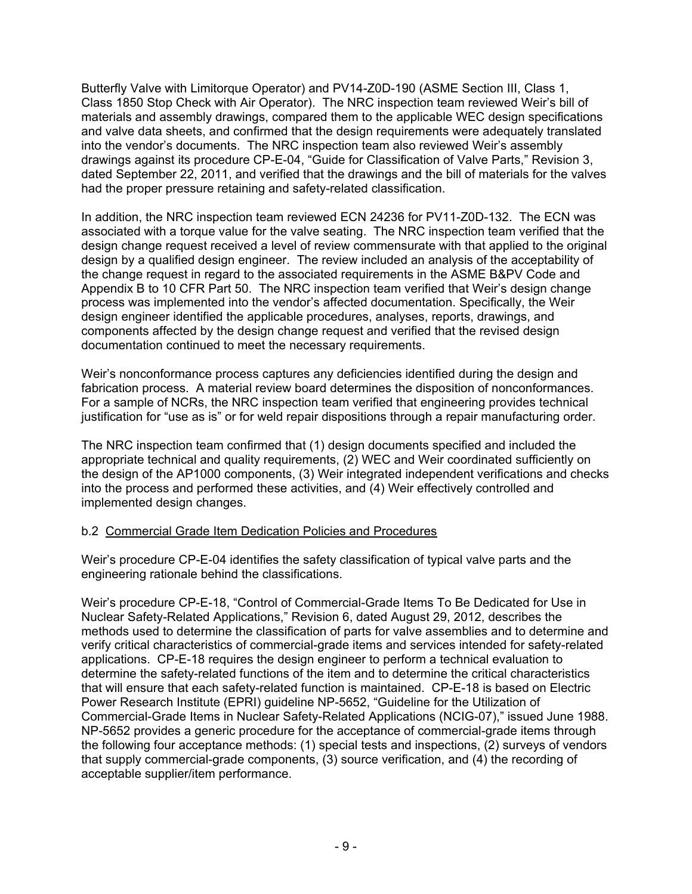Butterfly Valve with Limitorque Operator) and PV14-Z0D-190 (ASME Section III, Class 1, Class 1850 Stop Check with Air Operator). The NRC inspection team reviewed Weir's bill of materials and assembly drawings, compared them to the applicable WEC design specifications and valve data sheets, and confirmed that the design requirements were adequately translated into the vendor's documents. The NRC inspection team also reviewed Weir's assembly drawings against its procedure CP-E-04, "Guide for Classification of Valve Parts," Revision 3, dated September 22, 2011, and verified that the drawings and the bill of materials for the valves had the proper pressure retaining and safety-related classification.

In addition, the NRC inspection team reviewed ECN 24236 for PV11-Z0D-132. The ECN was associated with a torque value for the valve seating. The NRC inspection team verified that the design change request received a level of review commensurate with that applied to the original design by a qualified design engineer. The review included an analysis of the acceptability of the change request in regard to the associated requirements in the ASME B&PV Code and Appendix B to 10 CFR Part 50. The NRC inspection team verified that Weir's design change process was implemented into the vendor's affected documentation. Specifically, the Weir design engineer identified the applicable procedures, analyses, reports, drawings, and components affected by the design change request and verified that the revised design documentation continued to meet the necessary requirements.

Weir's nonconformance process captures any deficiencies identified during the design and fabrication process. A material review board determines the disposition of nonconformances. For a sample of NCRs, the NRC inspection team verified that engineering provides technical justification for "use as is" or for weld repair dispositions through a repair manufacturing order.

The NRC inspection team confirmed that (1) design documents specified and included the appropriate technical and quality requirements, (2) WEC and Weir coordinated sufficiently on the design of the AP1000 components, (3) Weir integrated independent verifications and checks into the process and performed these activities, and (4) Weir effectively controlled and implemented design changes.

#### b.2 Commercial Grade Item Dedication Policies and Procedures

Weir's procedure CP-E-04 identifies the safety classification of typical valve parts and the engineering rationale behind the classifications.

Weir's procedure CP-E-18, "Control of Commercial-Grade Items To Be Dedicated for Use in Nuclear Safety-Related Applications," Revision 6, dated August 29, 2012, describes the methods used to determine the classification of parts for valve assemblies and to determine and verify critical characteristics of commercial-grade items and services intended for safety-related applications. CP-E-18 requires the design engineer to perform a technical evaluation to determine the safety-related functions of the item and to determine the critical characteristics that will ensure that each safety-related function is maintained. CP-E-18 is based on Electric Power Research Institute (EPRI) guideline NP-5652, "Guideline for the Utilization of Commercial-Grade Items in Nuclear Safety-Related Applications (NCIG-07)," issued June 1988. NP-5652 provides a generic procedure for the acceptance of commercial-grade items through the following four acceptance methods: (1) special tests and inspections, (2) surveys of vendors that supply commercial-grade components, (3) source verification, and (4) the recording of acceptable supplier/item performance.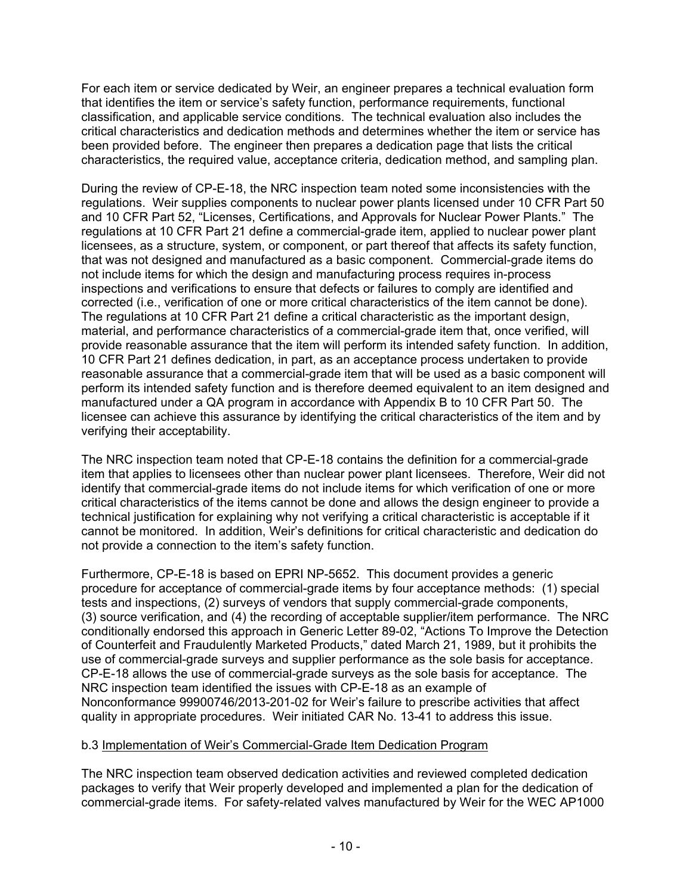For each item or service dedicated by Weir, an engineer prepares a technical evaluation form that identifies the item or service's safety function, performance requirements, functional classification, and applicable service conditions. The technical evaluation also includes the critical characteristics and dedication methods and determines whether the item or service has been provided before. The engineer then prepares a dedication page that lists the critical characteristics, the required value, acceptance criteria, dedication method, and sampling plan.

During the review of CP-E-18, the NRC inspection team noted some inconsistencies with the regulations. Weir supplies components to nuclear power plants licensed under 10 CFR Part 50 and 10 CFR Part 52, "Licenses, Certifications, and Approvals for Nuclear Power Plants." The regulations at 10 CFR Part 21 define a commercial-grade item, applied to nuclear power plant licensees, as a structure, system, or component, or part thereof that affects its safety function, that was not designed and manufactured as a basic component. Commercial-grade items do not include items for which the design and manufacturing process requires in-process inspections and verifications to ensure that defects or failures to comply are identified and corrected (i.e., verification of one or more critical characteristics of the item cannot be done). The regulations at 10 CFR Part 21 define a critical characteristic as the important design, material, and performance characteristics of a commercial-grade item that, once verified, will provide reasonable assurance that the item will perform its intended safety function. In addition, 10 CFR Part 21 defines dedication, in part, as an acceptance process undertaken to provide reasonable assurance that a commercial-grade item that will be used as a basic component will perform its intended safety function and is therefore deemed equivalent to an item designed and manufactured under a QA program in accordance with Appendix B to 10 CFR Part 50. The licensee can achieve this assurance by identifying the critical characteristics of the item and by verifying their acceptability.

The NRC inspection team noted that CP-E-18 contains the definition for a commercial-grade item that applies to licensees other than nuclear power plant licensees. Therefore, Weir did not identify that commercial-grade items do not include items for which verification of one or more critical characteristics of the items cannot be done and allows the design engineer to provide a technical justification for explaining why not verifying a critical characteristic is acceptable if it cannot be monitored. In addition, Weir's definitions for critical characteristic and dedication do not provide a connection to the item's safety function.

Furthermore, CP-E-18 is based on EPRI NP-5652. This document provides a generic procedure for acceptance of commercial-grade items by four acceptance methods: (1) special tests and inspections, (2) surveys of vendors that supply commercial-grade components, (3) source verification, and (4) the recording of acceptable supplier/item performance. The NRC conditionally endorsed this approach in Generic Letter 89-02, "Actions To Improve the Detection of Counterfeit and Fraudulently Marketed Products," dated March 21, 1989, but it prohibits the use of commercial-grade surveys and supplier performance as the sole basis for acceptance. CP-E-18 allows the use of commercial-grade surveys as the sole basis for acceptance. The NRC inspection team identified the issues with CP-E-18 as an example of Nonconformance 99900746/2013-201-02 for Weir's failure to prescribe activities that affect quality in appropriate procedures. Weir initiated CAR No. 13-41 to address this issue.

#### b.3 Implementation of Weir's Commercial-Grade Item Dedication Program

The NRC inspection team observed dedication activities and reviewed completed dedication packages to verify that Weir properly developed and implemented a plan for the dedication of commercial-grade items. For safety-related valves manufactured by Weir for the WEC AP1000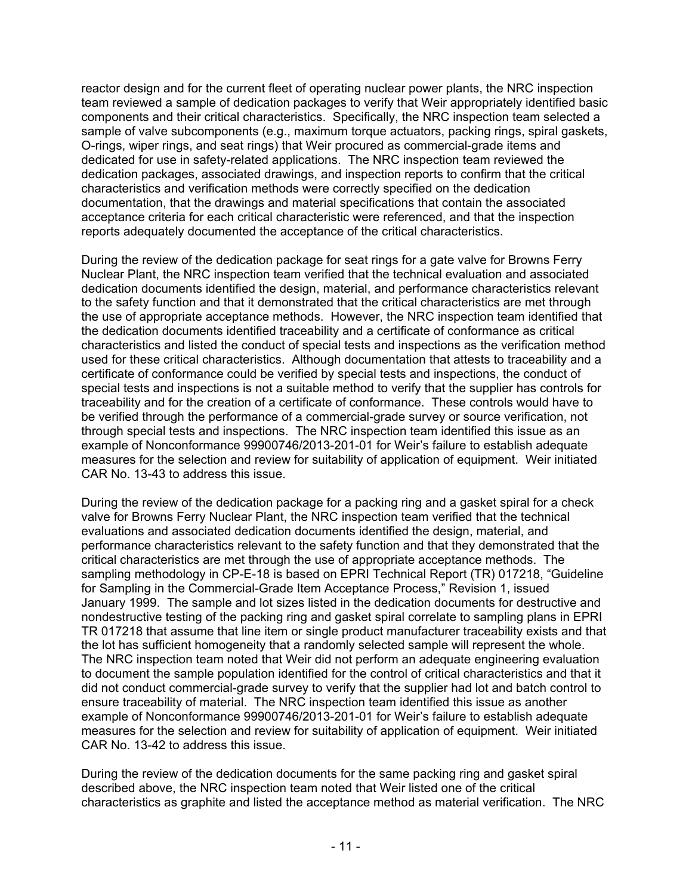reactor design and for the current fleet of operating nuclear power plants, the NRC inspection team reviewed a sample of dedication packages to verify that Weir appropriately identified basic components and their critical characteristics. Specifically, the NRC inspection team selected a sample of valve subcomponents (e.g., maximum torque actuators, packing rings, spiral gaskets, O-rings, wiper rings, and seat rings) that Weir procured as commercial-grade items and dedicated for use in safety-related applications. The NRC inspection team reviewed the dedication packages, associated drawings, and inspection reports to confirm that the critical characteristics and verification methods were correctly specified on the dedication documentation, that the drawings and material specifications that contain the associated acceptance criteria for each critical characteristic were referenced, and that the inspection reports adequately documented the acceptance of the critical characteristics.

During the review of the dedication package for seat rings for a gate valve for Browns Ferry Nuclear Plant, the NRC inspection team verified that the technical evaluation and associated dedication documents identified the design, material, and performance characteristics relevant to the safety function and that it demonstrated that the critical characteristics are met through the use of appropriate acceptance methods. However, the NRC inspection team identified that the dedication documents identified traceability and a certificate of conformance as critical characteristics and listed the conduct of special tests and inspections as the verification method used for these critical characteristics. Although documentation that attests to traceability and a certificate of conformance could be verified by special tests and inspections, the conduct of special tests and inspections is not a suitable method to verify that the supplier has controls for traceability and for the creation of a certificate of conformance. These controls would have to be verified through the performance of a commercial-grade survey or source verification, not through special tests and inspections. The NRC inspection team identified this issue as an example of Nonconformance 99900746/2013-201-01 for Weir's failure to establish adequate measures for the selection and review for suitability of application of equipment. Weir initiated CAR No. 13-43 to address this issue.

During the review of the dedication package for a packing ring and a gasket spiral for a check valve for Browns Ferry Nuclear Plant, the NRC inspection team verified that the technical evaluations and associated dedication documents identified the design, material, and performance characteristics relevant to the safety function and that they demonstrated that the critical characteristics are met through the use of appropriate acceptance methods. The sampling methodology in CP-E-18 is based on EPRI Technical Report (TR) 017218, "Guideline for Sampling in the Commercial-Grade Item Acceptance Process," Revision 1, issued January 1999. The sample and lot sizes listed in the dedication documents for destructive and nondestructive testing of the packing ring and gasket spiral correlate to sampling plans in EPRI TR 017218 that assume that line item or single product manufacturer traceability exists and that the lot has sufficient homogeneity that a randomly selected sample will represent the whole. The NRC inspection team noted that Weir did not perform an adequate engineering evaluation to document the sample population identified for the control of critical characteristics and that it did not conduct commercial-grade survey to verify that the supplier had lot and batch control to ensure traceability of material. The NRC inspection team identified this issue as another example of Nonconformance 99900746/2013-201-01 for Weir's failure to establish adequate measures for the selection and review for suitability of application of equipment. Weir initiated CAR No. 13-42 to address this issue.

During the review of the dedication documents for the same packing ring and gasket spiral described above, the NRC inspection team noted that Weir listed one of the critical characteristics as graphite and listed the acceptance method as material verification. The NRC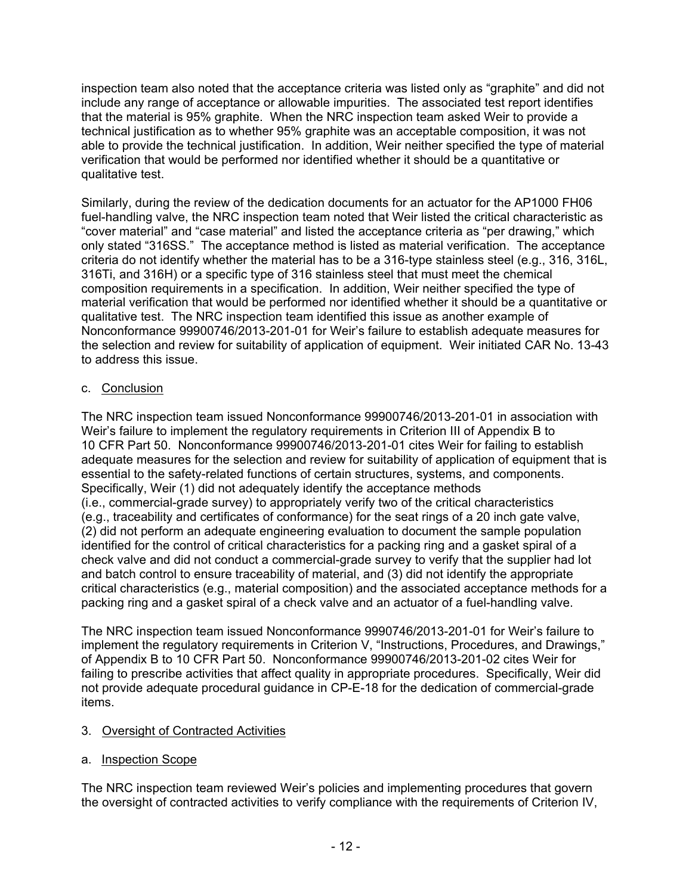inspection team also noted that the acceptance criteria was listed only as "graphite" and did not include any range of acceptance or allowable impurities. The associated test report identifies that the material is 95% graphite. When the NRC inspection team asked Weir to provide a technical justification as to whether 95% graphite was an acceptable composition, it was not able to provide the technical justification. In addition, Weir neither specified the type of material verification that would be performed nor identified whether it should be a quantitative or qualitative test.

Similarly, during the review of the dedication documents for an actuator for the AP1000 FH06 fuel-handling valve, the NRC inspection team noted that Weir listed the critical characteristic as "cover material" and "case material" and listed the acceptance criteria as "per drawing," which only stated "316SS." The acceptance method is listed as material verification. The acceptance criteria do not identify whether the material has to be a 316-type stainless steel (e.g., 316, 316L, 316Ti, and 316H) or a specific type of 316 stainless steel that must meet the chemical composition requirements in a specification. In addition, Weir neither specified the type of material verification that would be performed nor identified whether it should be a quantitative or qualitative test. The NRC inspection team identified this issue as another example of Nonconformance 99900746/2013-201-01 for Weir's failure to establish adequate measures for the selection and review for suitability of application of equipment. Weir initiated CAR No. 13-43 to address this issue.

### c. Conclusion

The NRC inspection team issued Nonconformance 99900746/2013-201-01 in association with Weir's failure to implement the regulatory requirements in Criterion III of Appendix B to 10 CFR Part 50. Nonconformance 99900746/2013-201-01 cites Weir for failing to establish adequate measures for the selection and review for suitability of application of equipment that is essential to the safety-related functions of certain structures, systems, and components. Specifically, Weir (1) did not adequately identify the acceptance methods (i.e., commercial-grade survey) to appropriately verify two of the critical characteristics (e.g., traceability and certificates of conformance) for the seat rings of a 20 inch gate valve, (2) did not perform an adequate engineering evaluation to document the sample population identified for the control of critical characteristics for a packing ring and a gasket spiral of a check valve and did not conduct a commercial-grade survey to verify that the supplier had lot and batch control to ensure traceability of material, and (3) did not identify the appropriate critical characteristics (e.g., material composition) and the associated acceptance methods for a packing ring and a gasket spiral of a check valve and an actuator of a fuel-handling valve.

The NRC inspection team issued Nonconformance 9990746/2013-201-01 for Weir's failure to implement the regulatory requirements in Criterion V, "Instructions, Procedures, and Drawings," of Appendix B to 10 CFR Part 50. Nonconformance 99900746/2013-201-02 cites Weir for failing to prescribe activities that affect quality in appropriate procedures. Specifically, Weir did not provide adequate procedural guidance in CP-E-18 for the dedication of commercial-grade items.

#### 3. Oversight of Contracted Activities

#### a. Inspection Scope

The NRC inspection team reviewed Weir's policies and implementing procedures that govern the oversight of contracted activities to verify compliance with the requirements of Criterion IV,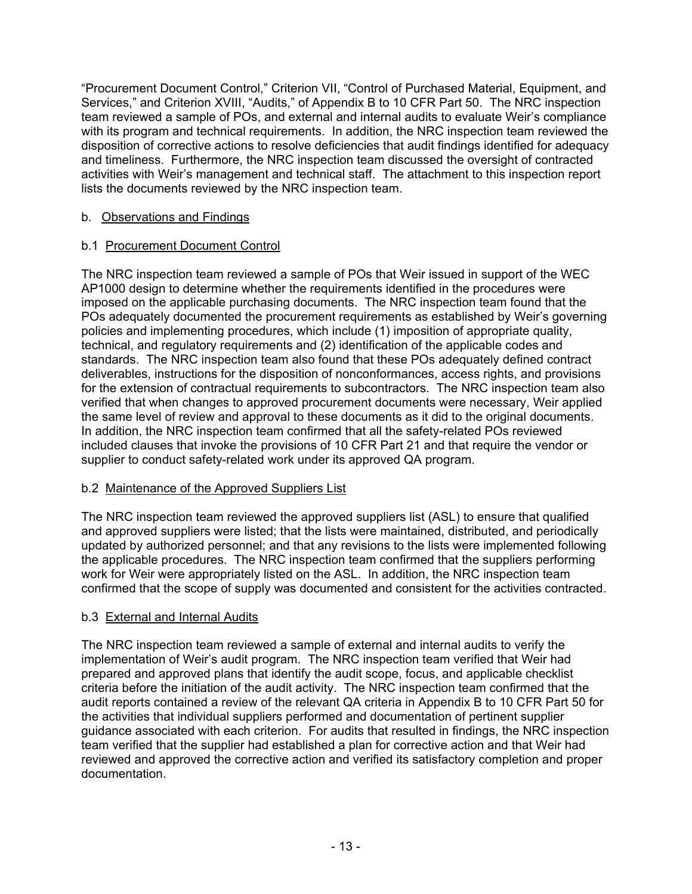"Procurement Document Control," Criterion VII, "Control of Purchased Material, Equipment, and Services," and Criterion XVIII, "Audits," of Appendix B to 10 CFR Part 50. The NRC inspection team reviewed a sample of POs, and external and internal audits to evaluate Weir's compliance with its program and technical requirements. In addition, the NRC inspection team reviewed the disposition of corrective actions to resolve deficiencies that audit findings identified for adequacy and timeliness. Furthermore, the NRC inspection team discussed the oversight of contracted activities with Weir's management and technical staff. The attachment to this inspection report lists the documents reviewed by the NRC inspection team.

## b. Observations and Findings

## b.1 Procurement Document Control

The NRC inspection team reviewed a sample of POs that Weir issued in support of the WEC AP1000 design to determine whether the requirements identified in the procedures were imposed on the applicable purchasing documents. The NRC inspection team found that the POs adequately documented the procurement requirements as established by Weir's governing policies and implementing procedures, which include (1) imposition of appropriate quality, technical, and regulatory requirements and (2) identification of the applicable codes and standards. The NRC inspection team also found that these POs adequately defined contract deliverables, instructions for the disposition of nonconformances, access rights, and provisions for the extension of contractual requirements to subcontractors. The NRC inspection team also verified that when changes to approved procurement documents were necessary, Weir applied the same level of review and approval to these documents as it did to the original documents. In addition, the NRC inspection team confirmed that all the safety-related POs reviewed included clauses that invoke the provisions of 10 CFR Part 21 and that require the vendor or supplier to conduct safety-related work under its approved QA program.

## b.2 Maintenance of the Approved Suppliers List

The NRC inspection team reviewed the approved suppliers list (ASL) to ensure that qualified and approved suppliers were listed; that the lists were maintained, distributed, and periodically updated by authorized personnel; and that any revisions to the lists were implemented following the applicable procedures. The NRC inspection team confirmed that the suppliers performing work for Weir were appropriately listed on the ASL. In addition, the NRC inspection team confirmed that the scope of supply was documented and consistent for the activities contracted.

## b.3 External and Internal Audits

The NRC inspection team reviewed a sample of external and internal audits to verify the implementation of Weir's audit program. The NRC inspection team verified that Weir had prepared and approved plans that identify the audit scope, focus, and applicable checklist criteria before the initiation of the audit activity. The NRC inspection team confirmed that the audit reports contained a review of the relevant QA criteria in Appendix B to 10 CFR Part 50 for the activities that individual suppliers performed and documentation of pertinent supplier guidance associated with each criterion. For audits that resulted in findings, the NRC inspection team verified that the supplier had established a plan for corrective action and that Weir had reviewed and approved the corrective action and verified its satisfactory completion and proper documentation.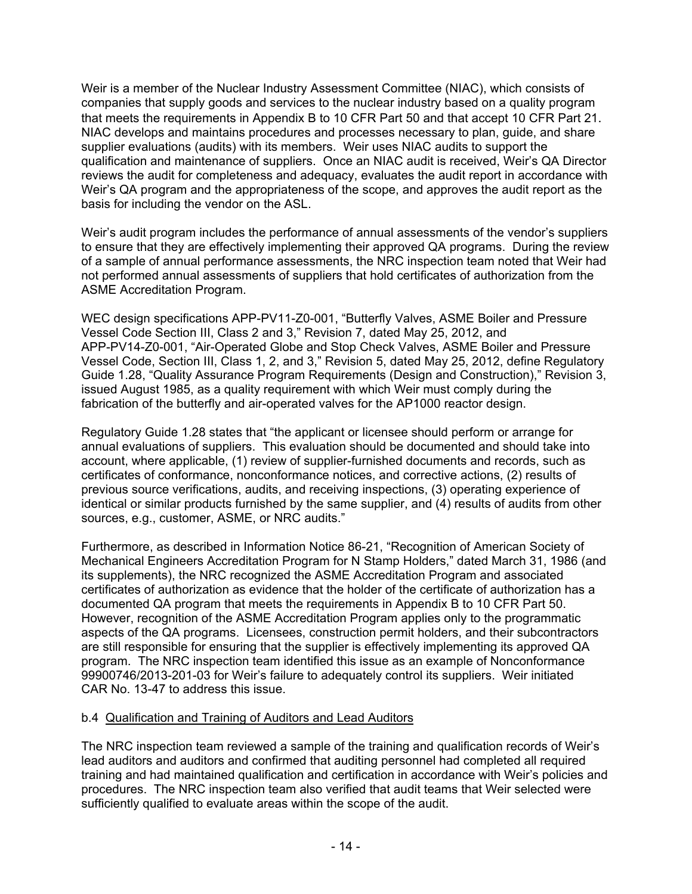Weir is a member of the Nuclear Industry Assessment Committee (NIAC), which consists of companies that supply goods and services to the nuclear industry based on a quality program that meets the requirements in Appendix B to 10 CFR Part 50 and that accept 10 CFR Part 21. NIAC develops and maintains procedures and processes necessary to plan, guide, and share supplier evaluations (audits) with its members. Weir uses NIAC audits to support the qualification and maintenance of suppliers. Once an NIAC audit is received, Weir's QA Director reviews the audit for completeness and adequacy, evaluates the audit report in accordance with Weir's QA program and the appropriateness of the scope, and approves the audit report as the basis for including the vendor on the ASL.

Weir's audit program includes the performance of annual assessments of the vendor's suppliers to ensure that they are effectively implementing their approved QA programs. During the review of a sample of annual performance assessments, the NRC inspection team noted that Weir had not performed annual assessments of suppliers that hold certificates of authorization from the ASME Accreditation Program.

WEC design specifications APP-PV11-Z0-001, "Butterfly Valves, ASME Boiler and Pressure Vessel Code Section III, Class 2 and 3," Revision 7, dated May 25, 2012, and APP-PV14-Z0-001, "Air-Operated Globe and Stop Check Valves, ASME Boiler and Pressure Vessel Code, Section III, Class 1, 2, and 3," Revision 5, dated May 25, 2012, define Regulatory Guide 1.28, "Quality Assurance Program Requirements (Design and Construction)," Revision 3, issued August 1985, as a quality requirement with which Weir must comply during the fabrication of the butterfly and air-operated valves for the AP1000 reactor design.

Regulatory Guide 1.28 states that "the applicant or licensee should perform or arrange for annual evaluations of suppliers. This evaluation should be documented and should take into account, where applicable, (1) review of supplier-furnished documents and records, such as certificates of conformance, nonconformance notices, and corrective actions, (2) results of previous source verifications, audits, and receiving inspections, (3) operating experience of identical or similar products furnished by the same supplier, and (4) results of audits from other sources, e.g., customer, ASME, or NRC audits."

Furthermore, as described in Information Notice 86-21, "Recognition of American Society of Mechanical Engineers Accreditation Program for N Stamp Holders," dated March 31, 1986 (and its supplements), the NRC recognized the ASME Accreditation Program and associated certificates of authorization as evidence that the holder of the certificate of authorization has a documented QA program that meets the requirements in Appendix B to 10 CFR Part 50. However, recognition of the ASME Accreditation Program applies only to the programmatic aspects of the QA programs. Licensees, construction permit holders, and their subcontractors are still responsible for ensuring that the supplier is effectively implementing its approved QA program. The NRC inspection team identified this issue as an example of Nonconformance 99900746/2013-201-03 for Weir's failure to adequately control its suppliers. Weir initiated CAR No. 13-47 to address this issue.

#### b.4 Qualification and Training of Auditors and Lead Auditors

The NRC inspection team reviewed a sample of the training and qualification records of Weir's lead auditors and auditors and confirmed that auditing personnel had completed all required training and had maintained qualification and certification in accordance with Weir's policies and procedures. The NRC inspection team also verified that audit teams that Weir selected were sufficiently qualified to evaluate areas within the scope of the audit.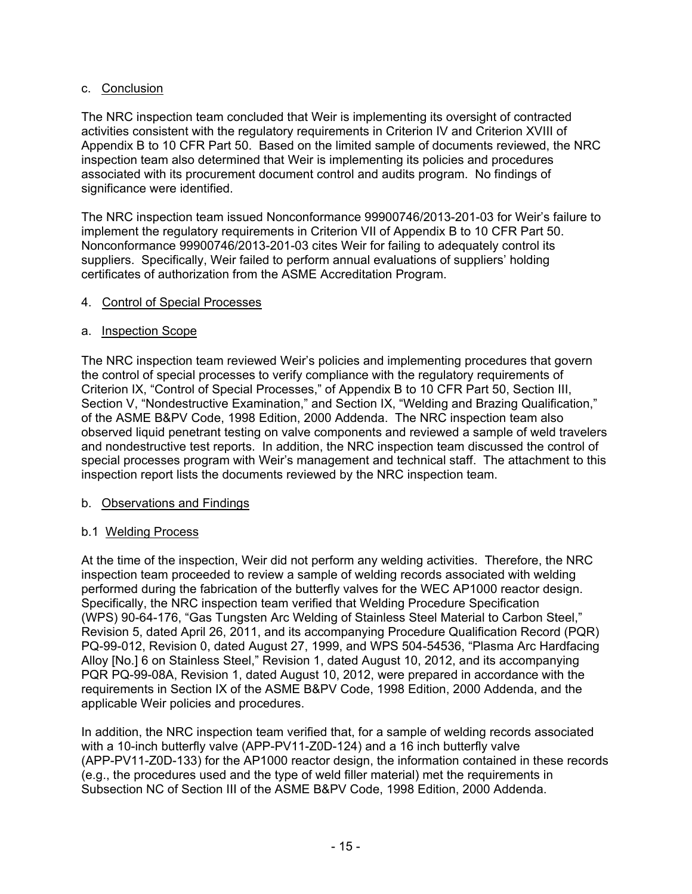### c. Conclusion

The NRC inspection team concluded that Weir is implementing its oversight of contracted activities consistent with the regulatory requirements in Criterion IV and Criterion XVIII of Appendix B to 10 CFR Part 50. Based on the limited sample of documents reviewed, the NRC inspection team also determined that Weir is implementing its policies and procedures associated with its procurement document control and audits program. No findings of significance were identified.

The NRC inspection team issued Nonconformance 99900746/2013-201-03 for Weir's failure to implement the regulatory requirements in Criterion VII of Appendix B to 10 CFR Part 50. Nonconformance 99900746/2013-201-03 cites Weir for failing to adequately control its suppliers. Specifically, Weir failed to perform annual evaluations of suppliers' holding certificates of authorization from the ASME Accreditation Program.

### 4. Control of Special Processes

#### a. Inspection Scope

The NRC inspection team reviewed Weir's policies and implementing procedures that govern the control of special processes to verify compliance with the regulatory requirements of Criterion IX, "Control of Special Processes," of Appendix B to 10 CFR Part 50, Section III, Section V, "Nondestructive Examination," and Section IX, "Welding and Brazing Qualification," of the ASME B&PV Code, 1998 Edition, 2000 Addenda. The NRC inspection team also observed liquid penetrant testing on valve components and reviewed a sample of weld travelers and nondestructive test reports. In addition, the NRC inspection team discussed the control of special processes program with Weir's management and technical staff. The attachment to this inspection report lists the documents reviewed by the NRC inspection team.

#### b. Observations and Findings

#### b.1 Welding Process

At the time of the inspection, Weir did not perform any welding activities. Therefore, the NRC inspection team proceeded to review a sample of welding records associated with welding performed during the fabrication of the butterfly valves for the WEC AP1000 reactor design. Specifically, the NRC inspection team verified that Welding Procedure Specification (WPS) 90-64-176, "Gas Tungsten Arc Welding of Stainless Steel Material to Carbon Steel," Revision 5, dated April 26, 2011, and its accompanying Procedure Qualification Record (PQR) PQ-99-012, Revision 0, dated August 27, 1999, and WPS 504-54536, "Plasma Arc Hardfacing Alloy [No.] 6 on Stainless Steel," Revision 1, dated August 10, 2012, and its accompanying PQR PQ-99-08A, Revision 1, dated August 10, 2012, were prepared in accordance with the requirements in Section IX of the ASME B&PV Code, 1998 Edition, 2000 Addenda, and the applicable Weir policies and procedures.

In addition, the NRC inspection team verified that, for a sample of welding records associated with a 10-inch butterfly valve (APP-PV11-Z0D-124) and a 16 inch butterfly valve (APP-PV11-Z0D-133) for the AP1000 reactor design, the information contained in these records (e.g., the procedures used and the type of weld filler material) met the requirements in Subsection NC of Section III of the ASME B&PV Code, 1998 Edition, 2000 Addenda.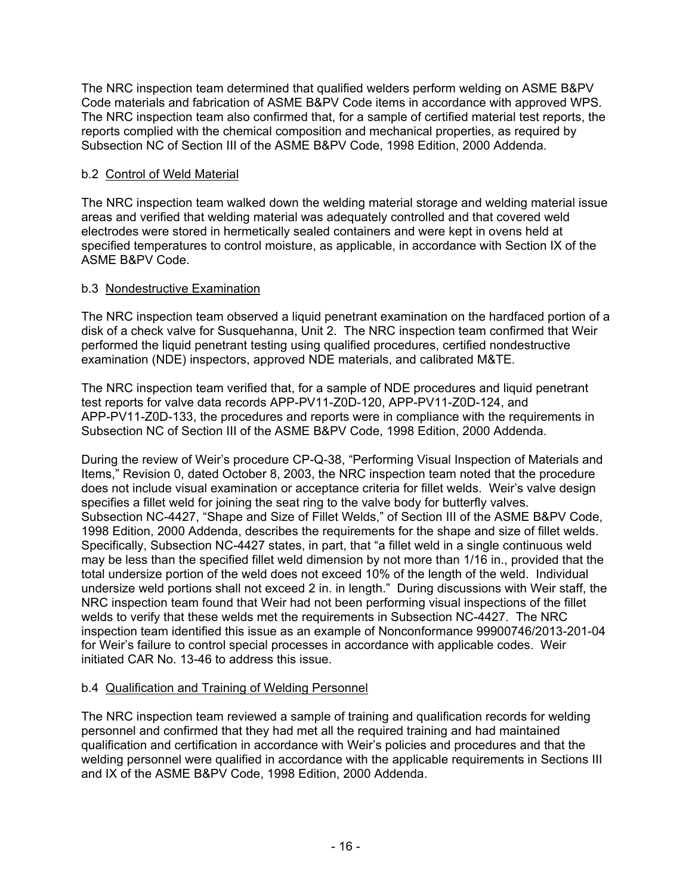The NRC inspection team determined that qualified welders perform welding on ASME B&PV Code materials and fabrication of ASME B&PV Code items in accordance with approved WPS. The NRC inspection team also confirmed that, for a sample of certified material test reports, the reports complied with the chemical composition and mechanical properties, as required by Subsection NC of Section III of the ASME B&PV Code, 1998 Edition, 2000 Addenda.

## b.2 Control of Weld Material

The NRC inspection team walked down the welding material storage and welding material issue areas and verified that welding material was adequately controlled and that covered weld electrodes were stored in hermetically sealed containers and were kept in ovens held at specified temperatures to control moisture, as applicable, in accordance with Section IX of the ASME B&PV Code.

# b.3 Nondestructive Examination

The NRC inspection team observed a liquid penetrant examination on the hardfaced portion of a disk of a check valve for Susquehanna, Unit 2. The NRC inspection team confirmed that Weir performed the liquid penetrant testing using qualified procedures, certified nondestructive examination (NDE) inspectors, approved NDE materials, and calibrated M&TE.

The NRC inspection team verified that, for a sample of NDE procedures and liquid penetrant test reports for valve data records APP-PV11-Z0D-120, APP-PV11-Z0D-124, and APP-PV11-Z0D-133, the procedures and reports were in compliance with the requirements in Subsection NC of Section III of the ASME B&PV Code, 1998 Edition, 2000 Addenda.

During the review of Weir's procedure CP-Q-38, "Performing Visual Inspection of Materials and Items," Revision 0, dated October 8, 2003, the NRC inspection team noted that the procedure does not include visual examination or acceptance criteria for fillet welds. Weir's valve design specifies a fillet weld for joining the seat ring to the valve body for butterfly valves. Subsection NC-4427, "Shape and Size of Fillet Welds," of Section III of the ASME B&PV Code, 1998 Edition, 2000 Addenda, describes the requirements for the shape and size of fillet welds. Specifically, Subsection NC-4427 states, in part, that "a fillet weld in a single continuous weld may be less than the specified fillet weld dimension by not more than 1/16 in., provided that the total undersize portion of the weld does not exceed 10% of the length of the weld. Individual undersize weld portions shall not exceed 2 in. in length." During discussions with Weir staff, the NRC inspection team found that Weir had not been performing visual inspections of the fillet welds to verify that these welds met the requirements in Subsection NC-4427. The NRC inspection team identified this issue as an example of Nonconformance 99900746/2013-201-04 for Weir's failure to control special processes in accordance with applicable codes. Weir initiated CAR No. 13-46 to address this issue.

## b.4 Qualification and Training of Welding Personnel

The NRC inspection team reviewed a sample of training and qualification records for welding personnel and confirmed that they had met all the required training and had maintained qualification and certification in accordance with Weir's policies and procedures and that the welding personnel were qualified in accordance with the applicable requirements in Sections III and IX of the ASME B&PV Code, 1998 Edition, 2000 Addenda.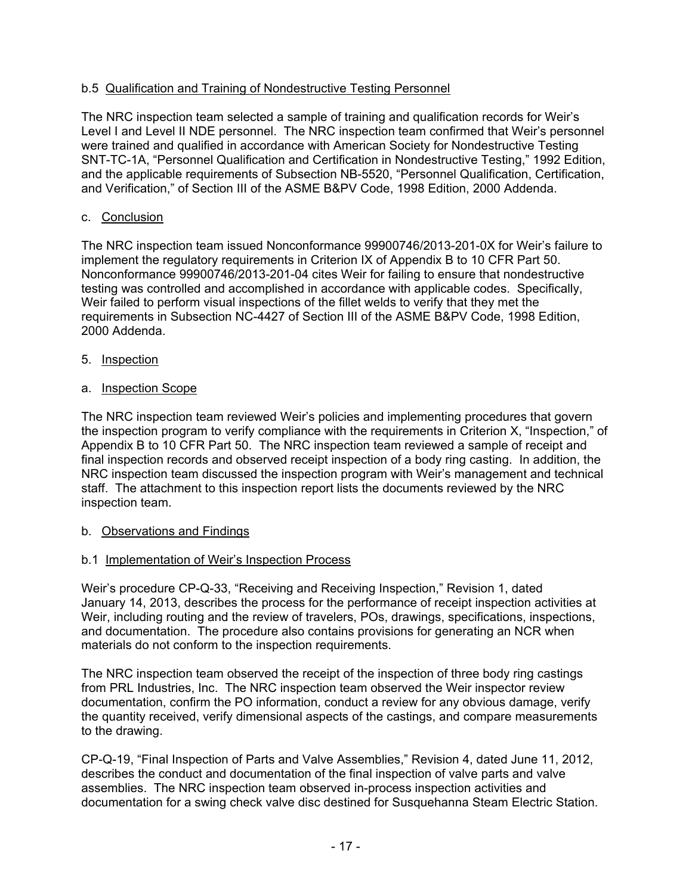## b.5 Qualification and Training of Nondestructive Testing Personnel

The NRC inspection team selected a sample of training and qualification records for Weir's Level I and Level II NDE personnel. The NRC inspection team confirmed that Weir's personnel were trained and qualified in accordance with American Society for Nondestructive Testing SNT-TC-1A, "Personnel Qualification and Certification in Nondestructive Testing," 1992 Edition, and the applicable requirements of Subsection NB-5520, "Personnel Qualification, Certification, and Verification," of Section III of the ASME B&PV Code, 1998 Edition, 2000 Addenda.

#### c. Conclusion

The NRC inspection team issued Nonconformance 99900746/2013-201-0X for Weir's failure to implement the regulatory requirements in Criterion IX of Appendix B to 10 CFR Part 50. Nonconformance 99900746/2013-201-04 cites Weir for failing to ensure that nondestructive testing was controlled and accomplished in accordance with applicable codes. Specifically, Weir failed to perform visual inspections of the fillet welds to verify that they met the requirements in Subsection NC-4427 of Section III of the ASME B&PV Code, 1998 Edition, 2000 Addenda.

- 5. Inspection
- a. Inspection Scope

The NRC inspection team reviewed Weir's policies and implementing procedures that govern the inspection program to verify compliance with the requirements in Criterion X, "Inspection," of Appendix B to 10 CFR Part 50. The NRC inspection team reviewed a sample of receipt and final inspection records and observed receipt inspection of a body ring casting. In addition, the NRC inspection team discussed the inspection program with Weir's management and technical staff. The attachment to this inspection report lists the documents reviewed by the NRC inspection team.

- b. Observations and Findings
- b.1 Implementation of Weir's Inspection Process

Weir's procedure CP-Q-33, "Receiving and Receiving Inspection," Revision 1, dated January 14, 2013, describes the process for the performance of receipt inspection activities at Weir, including routing and the review of travelers, POs, drawings, specifications, inspections, and documentation. The procedure also contains provisions for generating an NCR when materials do not conform to the inspection requirements.

The NRC inspection team observed the receipt of the inspection of three body ring castings from PRL Industries, Inc. The NRC inspection team observed the Weir inspector review documentation, confirm the PO information, conduct a review for any obvious damage, verify the quantity received, verify dimensional aspects of the castings, and compare measurements to the drawing.

CP-Q-19, "Final Inspection of Parts and Valve Assemblies," Revision 4, dated June 11, 2012, describes the conduct and documentation of the final inspection of valve parts and valve assemblies. The NRC inspection team observed in-process inspection activities and documentation for a swing check valve disc destined for Susquehanna Steam Electric Station.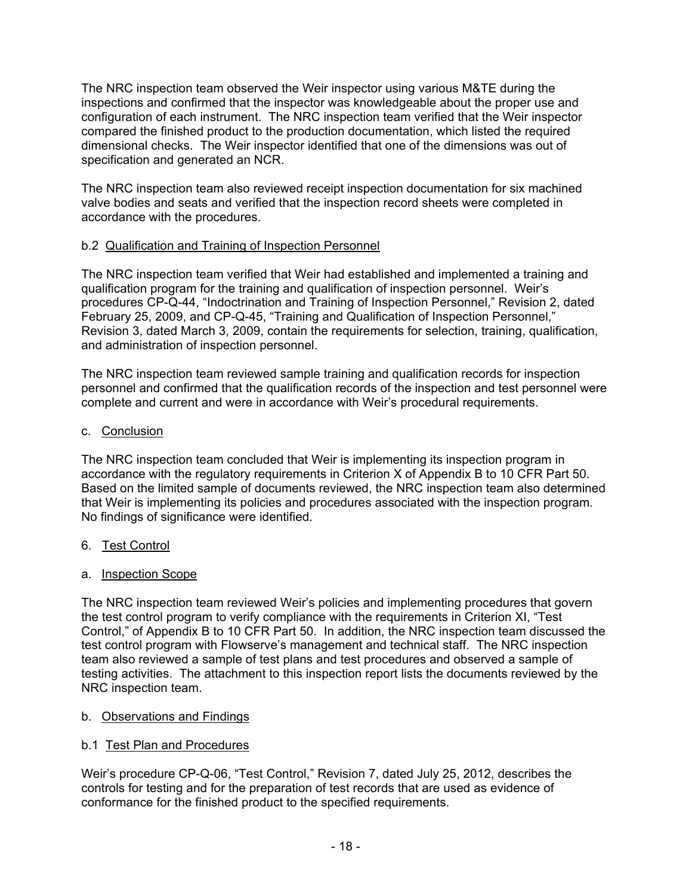The NRC inspection team observed the Weir inspector using various M&TE during the inspections and confirmed that the inspector was knowledgeable about the proper use and configuration of each instrument. The NRC inspection team verified that the Weir inspector compared the finished product to the production documentation, which listed the required dimensional checks. The Weir inspector identified that one of the dimensions was out of specification and generated an NCR.

The NRC inspection team also reviewed receipt inspection documentation for six machined valve bodies and seats and verified that the inspection record sheets were completed in accordance with the procedures.

## b.2 Qualification and Training of Inspection Personnel

The NRC inspection team verified that Weir had established and implemented a training and qualification program for the training and qualification of inspection personnel. Weir's procedures CP-Q-44, "Indoctrination and Training of Inspection Personnel," Revision 2, dated February 25, 2009, and CP-Q-45, "Training and Qualification of Inspection Personnel," Revision 3, dated March 3, 2009, contain the requirements for selection, training, qualification, and administration of inspection personnel.

The NRC inspection team reviewed sample training and qualification records for inspection personnel and confirmed that the qualification records of the inspection and test personnel were complete and current and were in accordance with Weir's procedural requirements.

### c. Conclusion

The NRC inspection team concluded that Weir is implementing its inspection program in accordance with the regulatory requirements in Criterion X of Appendix B to 10 CFR Part 50. Based on the limited sample of documents reviewed, the NRC inspection team also determined that Weir is implementing its policies and procedures associated with the inspection program. No findings of significance were identified.

## 6. Test Control

#### a. Inspection Scope

The NRC inspection team reviewed Weir's policies and implementing procedures that govern the test control program to verify compliance with the requirements in Criterion XI, "Test Control," of Appendix B to 10 CFR Part 50. In addition, the NRC inspection team discussed the test control program with Flowserve's management and technical staff. The NRC inspection team also reviewed a sample of test plans and test procedures and observed a sample of testing activities. The attachment to this inspection report lists the documents reviewed by the NRC inspection team.

## b. Observations and Findings

## b.1 Test Plan and Procedures

Weir's procedure CP-Q-06, "Test Control," Revision 7, dated July 25, 2012, describes the controls for testing and for the preparation of test records that are used as evidence of conformance for the finished product to the specified requirements.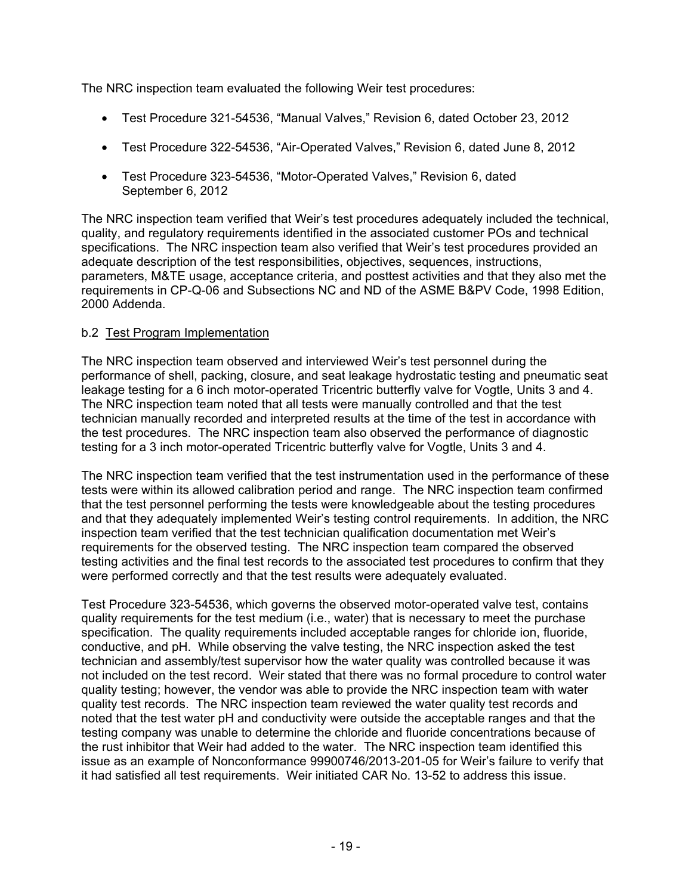The NRC inspection team evaluated the following Weir test procedures:

- Test Procedure 321-54536, "Manual Valves," Revision 6, dated October 23, 2012
- Test Procedure 322-54536, "Air-Operated Valves," Revision 6, dated June 8, 2012
- Test Procedure 323-54536, "Motor-Operated Valves," Revision 6, dated September 6, 2012

The NRC inspection team verified that Weir's test procedures adequately included the technical, quality, and regulatory requirements identified in the associated customer POs and technical specifications. The NRC inspection team also verified that Weir's test procedures provided an adequate description of the test responsibilities, objectives, sequences, instructions, parameters, M&TE usage, acceptance criteria, and posttest activities and that they also met the requirements in CP-Q-06 and Subsections NC and ND of the ASME B&PV Code, 1998 Edition, 2000 Addenda.

### b.2 Test Program Implementation

The NRC inspection team observed and interviewed Weir's test personnel during the performance of shell, packing, closure, and seat leakage hydrostatic testing and pneumatic seat leakage testing for a 6 inch motor-operated Tricentric butterfly valve for Vogtle, Units 3 and 4. The NRC inspection team noted that all tests were manually controlled and that the test technician manually recorded and interpreted results at the time of the test in accordance with the test procedures. The NRC inspection team also observed the performance of diagnostic testing for a 3 inch motor-operated Tricentric butterfly valve for Vogtle, Units 3 and 4.

The NRC inspection team verified that the test instrumentation used in the performance of these tests were within its allowed calibration period and range. The NRC inspection team confirmed that the test personnel performing the tests were knowledgeable about the testing procedures and that they adequately implemented Weir's testing control requirements. In addition, the NRC inspection team verified that the test technician qualification documentation met Weir's requirements for the observed testing. The NRC inspection team compared the observed testing activities and the final test records to the associated test procedures to confirm that they were performed correctly and that the test results were adequately evaluated.

Test Procedure 323-54536, which governs the observed motor-operated valve test, contains quality requirements for the test medium (i.e., water) that is necessary to meet the purchase specification. The quality requirements included acceptable ranges for chloride ion, fluoride, conductive, and pH. While observing the valve testing, the NRC inspection asked the test technician and assembly/test supervisor how the water quality was controlled because it was not included on the test record. Weir stated that there was no formal procedure to control water quality testing; however, the vendor was able to provide the NRC inspection team with water quality test records. The NRC inspection team reviewed the water quality test records and noted that the test water pH and conductivity were outside the acceptable ranges and that the testing company was unable to determine the chloride and fluoride concentrations because of the rust inhibitor that Weir had added to the water. The NRC inspection team identified this issue as an example of Nonconformance 99900746/2013-201-05 for Weir's failure to verify that it had satisfied all test requirements. Weir initiated CAR No. 13-52 to address this issue.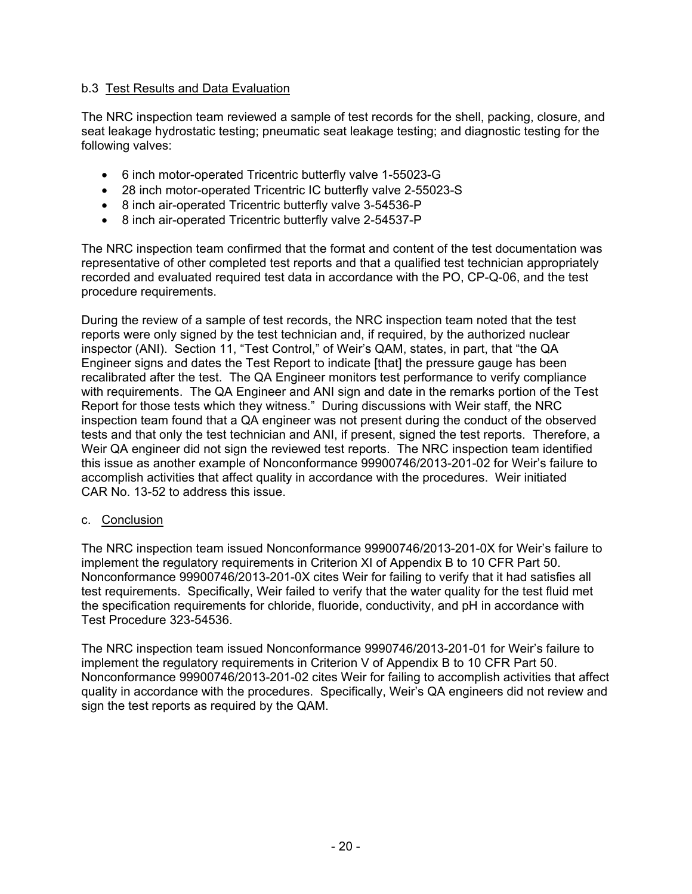### b.3 Test Results and Data Evaluation

The NRC inspection team reviewed a sample of test records for the shell, packing, closure, and seat leakage hydrostatic testing; pneumatic seat leakage testing; and diagnostic testing for the following valves:

- 6 inch motor-operated Tricentric butterfly valve 1-55023-G
- 28 inch motor-operated Tricentric IC butterfly valve 2-55023-S
- 8 inch air-operated Tricentric butterfly valve 3-54536-P
- 8 inch air-operated Tricentric butterfly valve 2-54537-P

The NRC inspection team confirmed that the format and content of the test documentation was representative of other completed test reports and that a qualified test technician appropriately recorded and evaluated required test data in accordance with the PO, CP-Q-06, and the test procedure requirements.

During the review of a sample of test records, the NRC inspection team noted that the test reports were only signed by the test technician and, if required, by the authorized nuclear inspector (ANI). Section 11, "Test Control," of Weir's QAM, states, in part, that "the QA Engineer signs and dates the Test Report to indicate [that] the pressure gauge has been recalibrated after the test. The QA Engineer monitors test performance to verify compliance with requirements. The QA Engineer and ANI sign and date in the remarks portion of the Test Report for those tests which they witness." During discussions with Weir staff, the NRC inspection team found that a QA engineer was not present during the conduct of the observed tests and that only the test technician and ANI, if present, signed the test reports. Therefore, a Weir QA engineer did not sign the reviewed test reports. The NRC inspection team identified this issue as another example of Nonconformance 99900746/2013-201-02 for Weir's failure to accomplish activities that affect quality in accordance with the procedures. Weir initiated CAR No. 13-52 to address this issue.

#### c. Conclusion

The NRC inspection team issued Nonconformance 99900746/2013-201-0X for Weir's failure to implement the regulatory requirements in Criterion XI of Appendix B to 10 CFR Part 50. Nonconformance 99900746/2013-201-0X cites Weir for failing to verify that it had satisfies all test requirements. Specifically, Weir failed to verify that the water quality for the test fluid met the specification requirements for chloride, fluoride, conductivity, and pH in accordance with Test Procedure 323-54536.

The NRC inspection team issued Nonconformance 9990746/2013-201-01 for Weir's failure to implement the regulatory requirements in Criterion V of Appendix B to 10 CFR Part 50. Nonconformance 99900746/2013-201-02 cites Weir for failing to accomplish activities that affect quality in accordance with the procedures. Specifically, Weir's QA engineers did not review and sign the test reports as required by the QAM.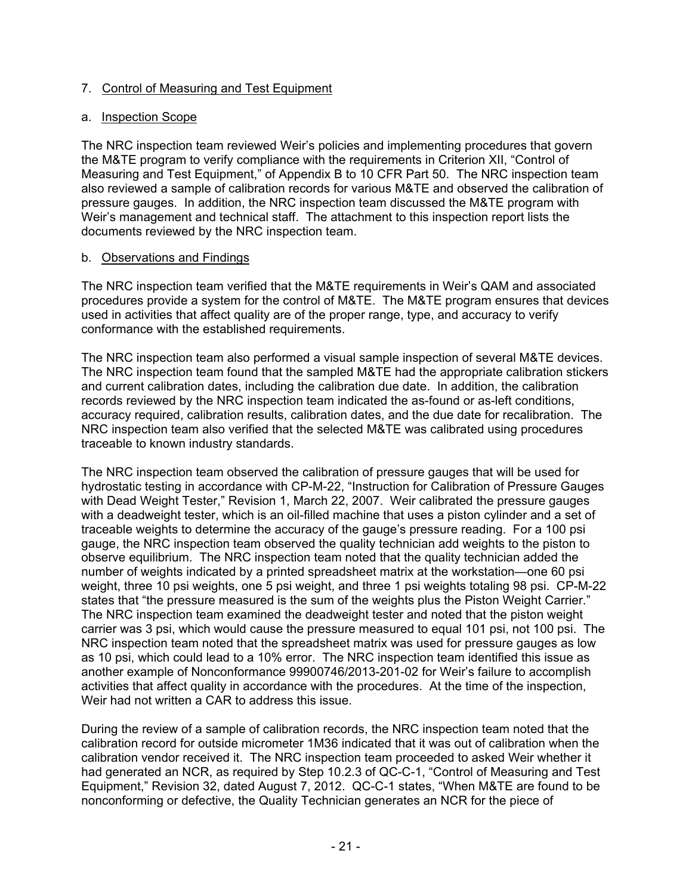### 7. Control of Measuring and Test Equipment

#### a. Inspection Scope

The NRC inspection team reviewed Weir's policies and implementing procedures that govern the M&TE program to verify compliance with the requirements in Criterion XII, "Control of Measuring and Test Equipment," of Appendix B to 10 CFR Part 50. The NRC inspection team also reviewed a sample of calibration records for various M&TE and observed the calibration of pressure gauges. In addition, the NRC inspection team discussed the M&TE program with Weir's management and technical staff. The attachment to this inspection report lists the documents reviewed by the NRC inspection team.

### b. Observations and Findings

The NRC inspection team verified that the M&TE requirements in Weir's QAM and associated procedures provide a system for the control of M&TE. The M&TE program ensures that devices used in activities that affect quality are of the proper range, type, and accuracy to verify conformance with the established requirements.

The NRC inspection team also performed a visual sample inspection of several M&TE devices. The NRC inspection team found that the sampled M&TE had the appropriate calibration stickers and current calibration dates, including the calibration due date. In addition, the calibration records reviewed by the NRC inspection team indicated the as-found or as-left conditions, accuracy required, calibration results, calibration dates, and the due date for recalibration. The NRC inspection team also verified that the selected M&TE was calibrated using procedures traceable to known industry standards.

The NRC inspection team observed the calibration of pressure gauges that will be used for hydrostatic testing in accordance with CP-M-22, "Instruction for Calibration of Pressure Gauges with Dead Weight Tester," Revision 1, March 22, 2007. Weir calibrated the pressure gauges with a deadweight tester, which is an oil-filled machine that uses a piston cylinder and a set of traceable weights to determine the accuracy of the gauge's pressure reading. For a 100 psi gauge, the NRC inspection team observed the quality technician add weights to the piston to observe equilibrium. The NRC inspection team noted that the quality technician added the number of weights indicated by a printed spreadsheet matrix at the workstation—one 60 psi weight, three 10 psi weights, one 5 psi weight, and three 1 psi weights totaling 98 psi. CP-M-22 states that "the pressure measured is the sum of the weights plus the Piston Weight Carrier." The NRC inspection team examined the deadweight tester and noted that the piston weight carrier was 3 psi, which would cause the pressure measured to equal 101 psi, not 100 psi. The NRC inspection team noted that the spreadsheet matrix was used for pressure gauges as low as 10 psi, which could lead to a 10% error. The NRC inspection team identified this issue as another example of Nonconformance 99900746/2013-201-02 for Weir's failure to accomplish activities that affect quality in accordance with the procedures. At the time of the inspection, Weir had not written a CAR to address this issue.

During the review of a sample of calibration records, the NRC inspection team noted that the calibration record for outside micrometer 1M36 indicated that it was out of calibration when the calibration vendor received it. The NRC inspection team proceeded to asked Weir whether it had generated an NCR, as required by Step 10.2.3 of QC-C-1, "Control of Measuring and Test Equipment," Revision 32, dated August 7, 2012. QC-C-1 states, "When M&TE are found to be nonconforming or defective, the Quality Technician generates an NCR for the piece of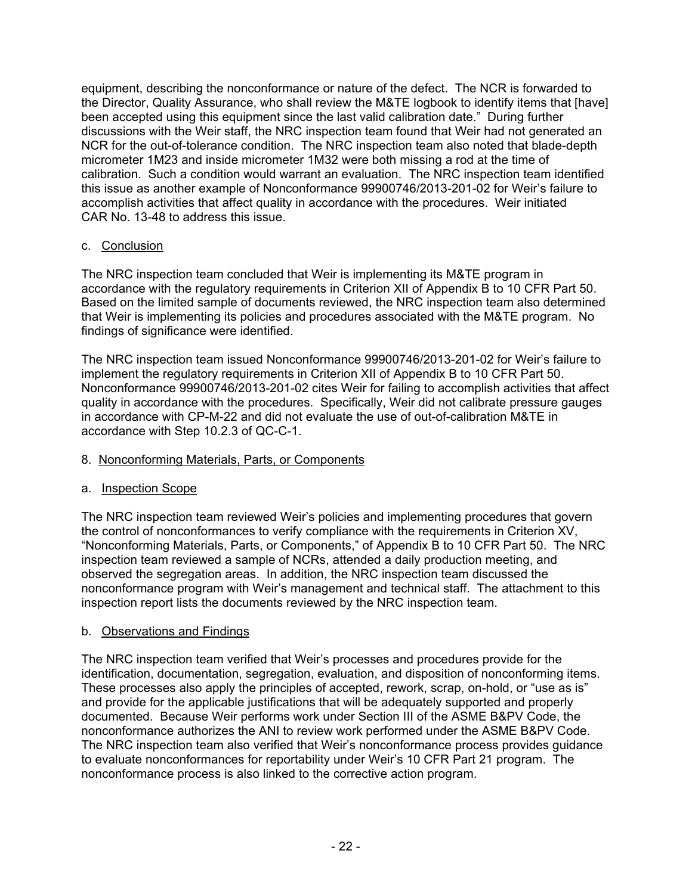equipment, describing the nonconformance or nature of the defect. The NCR is forwarded to the Director, Quality Assurance, who shall review the M&TE logbook to identify items that [have] been accepted using this equipment since the last valid calibration date." During further discussions with the Weir staff, the NRC inspection team found that Weir had not generated an NCR for the out-of-tolerance condition. The NRC inspection team also noted that blade-depth micrometer 1M23 and inside micrometer 1M32 were both missing a rod at the time of calibration. Such a condition would warrant an evaluation. The NRC inspection team identified this issue as another example of Nonconformance 99900746/2013-201-02 for Weir's failure to accomplish activities that affect quality in accordance with the procedures. Weir initiated CAR No. 13-48 to address this issue.

## c. Conclusion

The NRC inspection team concluded that Weir is implementing its M&TE program in accordance with the regulatory requirements in Criterion XII of Appendix B to 10 CFR Part 50. Based on the limited sample of documents reviewed, the NRC inspection team also determined that Weir is implementing its policies and procedures associated with the M&TE program. No findings of significance were identified.

The NRC inspection team issued Nonconformance 99900746/2013-201-02 for Weir's failure to implement the regulatory requirements in Criterion XII of Appendix B to 10 CFR Part 50. Nonconformance 99900746/2013-201-02 cites Weir for failing to accomplish activities that affect quality in accordance with the procedures. Specifically, Weir did not calibrate pressure gauges in accordance with CP-M-22 and did not evaluate the use of out-of-calibration M&TE in accordance with Step 10.2.3 of QC-C-1.

## 8. Nonconforming Materials, Parts, or Components

## a. Inspection Scope

The NRC inspection team reviewed Weir's policies and implementing procedures that govern the control of nonconformances to verify compliance with the requirements in Criterion XV, "Nonconforming Materials, Parts, or Components," of Appendix B to 10 CFR Part 50. The NRC inspection team reviewed a sample of NCRs, attended a daily production meeting, and observed the segregation areas. In addition, the NRC inspection team discussed the nonconformance program with Weir's management and technical staff. The attachment to this inspection report lists the documents reviewed by the NRC inspection team.

## b. Observations and Findings

The NRC inspection team verified that Weir's processes and procedures provide for the identification, documentation, segregation, evaluation, and disposition of nonconforming items. These processes also apply the principles of accepted, rework, scrap, on-hold, or "use as is" and provide for the applicable justifications that will be adequately supported and properly documented. Because Weir performs work under Section III of the ASME B&PV Code, the nonconformance authorizes the ANI to review work performed under the ASME B&PV Code. The NRC inspection team also verified that Weir's nonconformance process provides guidance to evaluate nonconformances for reportability under Weir's 10 CFR Part 21 program. The nonconformance process is also linked to the corrective action program.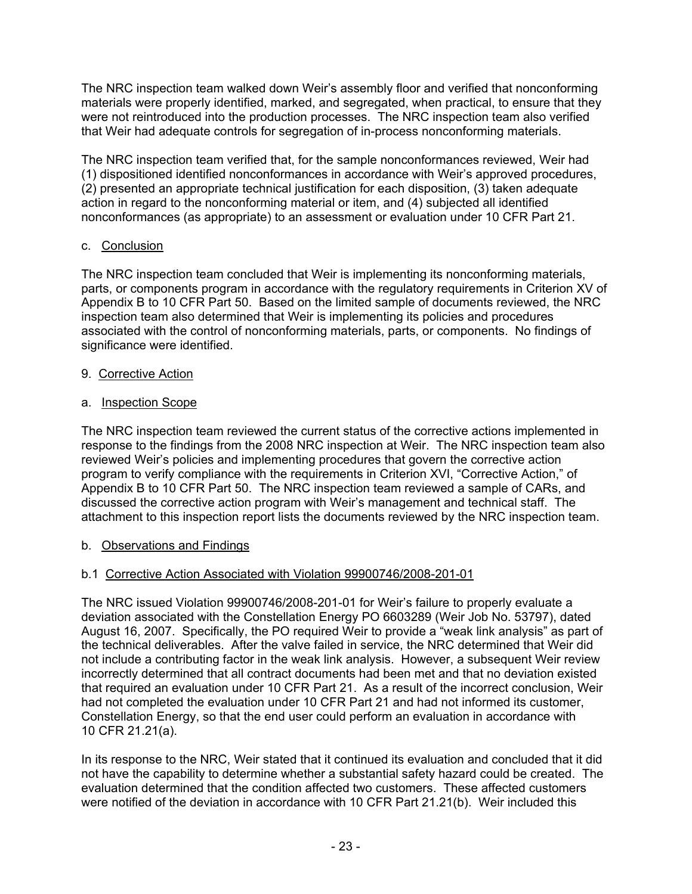The NRC inspection team walked down Weir's assembly floor and verified that nonconforming materials were properly identified, marked, and segregated, when practical, to ensure that they were not reintroduced into the production processes. The NRC inspection team also verified that Weir had adequate controls for segregation of in-process nonconforming materials.

The NRC inspection team verified that, for the sample nonconformances reviewed, Weir had (1) dispositioned identified nonconformances in accordance with Weir's approved procedures, (2) presented an appropriate technical justification for each disposition, (3) taken adequate action in regard to the nonconforming material or item, and (4) subjected all identified nonconformances (as appropriate) to an assessment or evaluation under 10 CFR Part 21.

## c. Conclusion

The NRC inspection team concluded that Weir is implementing its nonconforming materials, parts, or components program in accordance with the regulatory requirements in Criterion XV of Appendix B to 10 CFR Part 50. Based on the limited sample of documents reviewed, the NRC inspection team also determined that Weir is implementing its policies and procedures associated with the control of nonconforming materials, parts, or components. No findings of significance were identified.

### 9. Corrective Action

### a. Inspection Scope

The NRC inspection team reviewed the current status of the corrective actions implemented in response to the findings from the 2008 NRC inspection at Weir. The NRC inspection team also reviewed Weir's policies and implementing procedures that govern the corrective action program to verify compliance with the requirements in Criterion XVI, "Corrective Action," of Appendix B to 10 CFR Part 50. The NRC inspection team reviewed a sample of CARs, and discussed the corrective action program with Weir's management and technical staff. The attachment to this inspection report lists the documents reviewed by the NRC inspection team.

## b. Observations and Findings

## b.1 Corrective Action Associated with Violation 99900746/2008-201-01

The NRC issued Violation 99900746/2008-201-01 for Weir's failure to properly evaluate a deviation associated with the Constellation Energy PO 6603289 (Weir Job No. 53797), dated August 16, 2007. Specifically, the PO required Weir to provide a "weak link analysis" as part of the technical deliverables. After the valve failed in service, the NRC determined that Weir did not include a contributing factor in the weak link analysis. However, a subsequent Weir review incorrectly determined that all contract documents had been met and that no deviation existed that required an evaluation under 10 CFR Part 21. As a result of the incorrect conclusion, Weir had not completed the evaluation under 10 CFR Part 21 and had not informed its customer, Constellation Energy, so that the end user could perform an evaluation in accordance with 10 CFR 21.21(a).

In its response to the NRC, Weir stated that it continued its evaluation and concluded that it did not have the capability to determine whether a substantial safety hazard could be created. The evaluation determined that the condition affected two customers. These affected customers were notified of the deviation in accordance with 10 CFR Part 21.21(b). Weir included this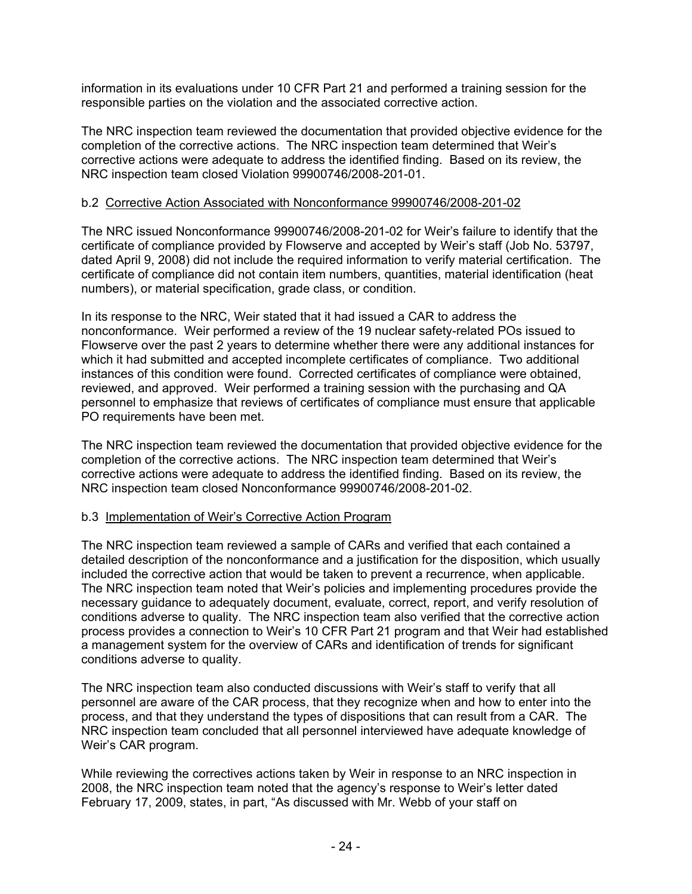information in its evaluations under 10 CFR Part 21 and performed a training session for the responsible parties on the violation and the associated corrective action.

The NRC inspection team reviewed the documentation that provided objective evidence for the completion of the corrective actions. The NRC inspection team determined that Weir's corrective actions were adequate to address the identified finding. Based on its review, the NRC inspection team closed Violation 99900746/2008-201-01.

### b.2 Corrective Action Associated with Nonconformance 99900746/2008-201-02

The NRC issued Nonconformance 99900746/2008-201-02 for Weir's failure to identify that the certificate of compliance provided by Flowserve and accepted by Weir's staff (Job No. 53797, dated April 9, 2008) did not include the required information to verify material certification. The certificate of compliance did not contain item numbers, quantities, material identification (heat numbers), or material specification, grade class, or condition.

In its response to the NRC, Weir stated that it had issued a CAR to address the nonconformance. Weir performed a review of the 19 nuclear safety-related POs issued to Flowserve over the past 2 years to determine whether there were any additional instances for which it had submitted and accepted incomplete certificates of compliance. Two additional instances of this condition were found. Corrected certificates of compliance were obtained, reviewed, and approved. Weir performed a training session with the purchasing and QA personnel to emphasize that reviews of certificates of compliance must ensure that applicable PO requirements have been met.

The NRC inspection team reviewed the documentation that provided objective evidence for the completion of the corrective actions. The NRC inspection team determined that Weir's corrective actions were adequate to address the identified finding. Based on its review, the NRC inspection team closed Nonconformance 99900746/2008-201-02.

#### b.3 Implementation of Weir's Corrective Action Program

The NRC inspection team reviewed a sample of CARs and verified that each contained a detailed description of the nonconformance and a justification for the disposition, which usually included the corrective action that would be taken to prevent a recurrence, when applicable. The NRC inspection team noted that Weir's policies and implementing procedures provide the necessary guidance to adequately document, evaluate, correct, report, and verify resolution of conditions adverse to quality. The NRC inspection team also verified that the corrective action process provides a connection to Weir's 10 CFR Part 21 program and that Weir had established a management system for the overview of CARs and identification of trends for significant conditions adverse to quality.

The NRC inspection team also conducted discussions with Weir's staff to verify that all personnel are aware of the CAR process, that they recognize when and how to enter into the process, and that they understand the types of dispositions that can result from a CAR. The NRC inspection team concluded that all personnel interviewed have adequate knowledge of Weir's CAR program.

While reviewing the correctives actions taken by Weir in response to an NRC inspection in 2008, the NRC inspection team noted that the agency's response to Weir's letter dated February 17, 2009, states, in part, "As discussed with Mr. Webb of your staff on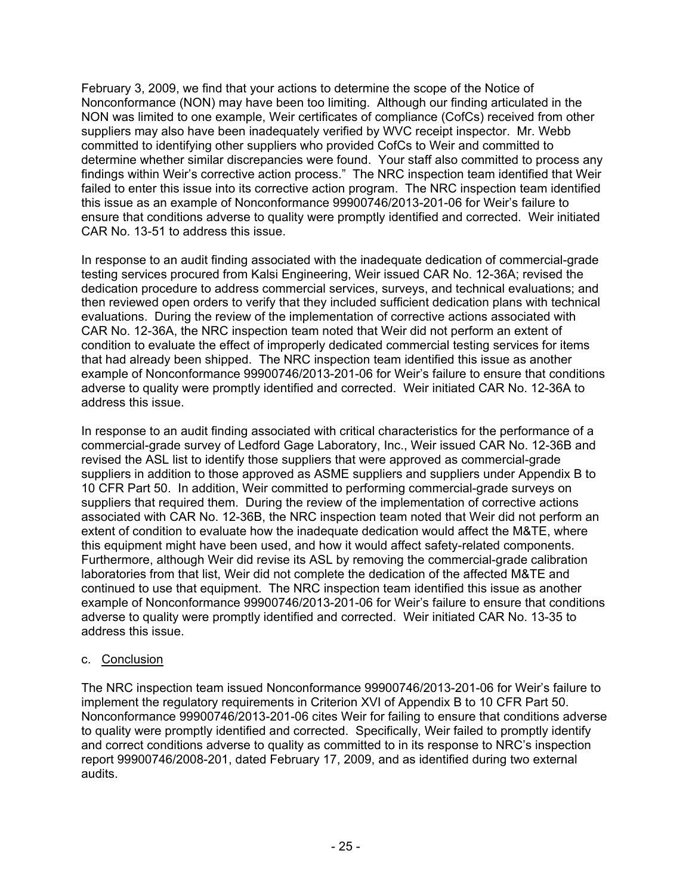February 3, 2009, we find that your actions to determine the scope of the Notice of Nonconformance (NON) may have been too limiting. Although our finding articulated in the NON was limited to one example, Weir certificates of compliance (CofCs) received from other suppliers may also have been inadequately verified by WVC receipt inspector. Mr. Webb committed to identifying other suppliers who provided CofCs to Weir and committed to determine whether similar discrepancies were found. Your staff also committed to process any findings within Weir's corrective action process." The NRC inspection team identified that Weir failed to enter this issue into its corrective action program. The NRC inspection team identified this issue as an example of Nonconformance 99900746/2013-201-06 for Weir's failure to ensure that conditions adverse to quality were promptly identified and corrected. Weir initiated CAR No. 13-51 to address this issue.

In response to an audit finding associated with the inadequate dedication of commercial-grade testing services procured from Kalsi Engineering, Weir issued CAR No. 12-36A; revised the dedication procedure to address commercial services, surveys, and technical evaluations; and then reviewed open orders to verify that they included sufficient dedication plans with technical evaluations. During the review of the implementation of corrective actions associated with CAR No. 12-36A, the NRC inspection team noted that Weir did not perform an extent of condition to evaluate the effect of improperly dedicated commercial testing services for items that had already been shipped. The NRC inspection team identified this issue as another example of Nonconformance 99900746/2013-201-06 for Weir's failure to ensure that conditions adverse to quality were promptly identified and corrected. Weir initiated CAR No. 12-36A to address this issue.

In response to an audit finding associated with critical characteristics for the performance of a commercial-grade survey of Ledford Gage Laboratory, Inc., Weir issued CAR No. 12-36B and revised the ASL list to identify those suppliers that were approved as commercial-grade suppliers in addition to those approved as ASME suppliers and suppliers under Appendix B to 10 CFR Part 50. In addition, Weir committed to performing commercial-grade surveys on suppliers that required them. During the review of the implementation of corrective actions associated with CAR No. 12-36B, the NRC inspection team noted that Weir did not perform an extent of condition to evaluate how the inadequate dedication would affect the M&TE, where this equipment might have been used, and how it would affect safety-related components. Furthermore, although Weir did revise its ASL by removing the commercial-grade calibration laboratories from that list, Weir did not complete the dedication of the affected M&TE and continued to use that equipment. The NRC inspection team identified this issue as another example of Nonconformance 99900746/2013-201-06 for Weir's failure to ensure that conditions adverse to quality were promptly identified and corrected. Weir initiated CAR No. 13-35 to address this issue.

#### c. Conclusion

The NRC inspection team issued Nonconformance 99900746/2013-201-06 for Weir's failure to implement the regulatory requirements in Criterion XVI of Appendix B to 10 CFR Part 50. Nonconformance 99900746/2013-201-06 cites Weir for failing to ensure that conditions adverse to quality were promptly identified and corrected. Specifically, Weir failed to promptly identify and correct conditions adverse to quality as committed to in its response to NRC's inspection report 99900746/2008-201, dated February 17, 2009, and as identified during two external audits.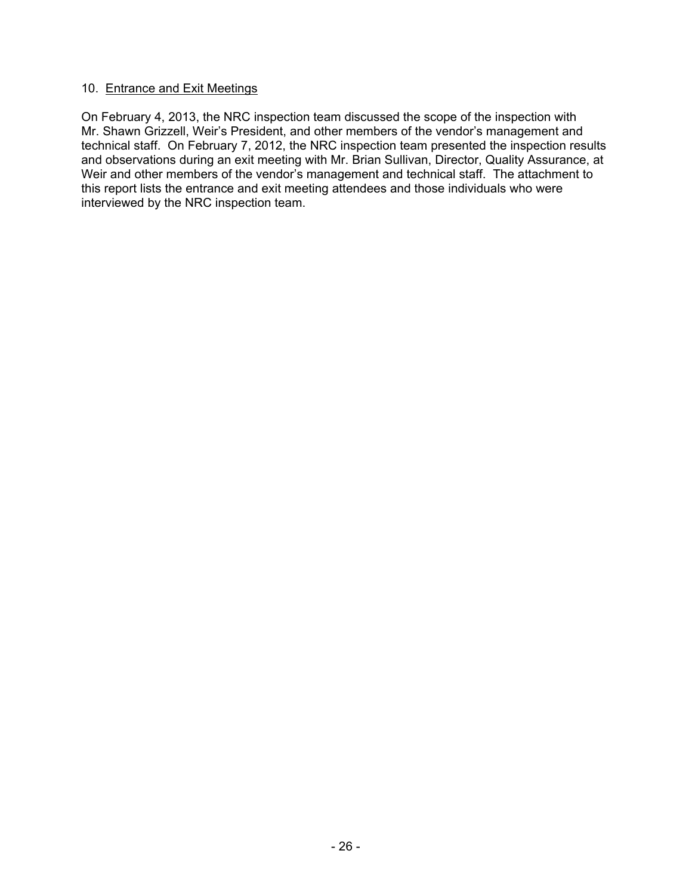#### 10. Entrance and Exit Meetings

On February 4, 2013, the NRC inspection team discussed the scope of the inspection with Mr. Shawn Grizzell, Weir's President, and other members of the vendor's management and technical staff. On February 7, 2012, the NRC inspection team presented the inspection results and observations during an exit meeting with Mr. Brian Sullivan, Director, Quality Assurance, at Weir and other members of the vendor's management and technical staff. The attachment to this report lists the entrance and exit meeting attendees and those individuals who were interviewed by the NRC inspection team.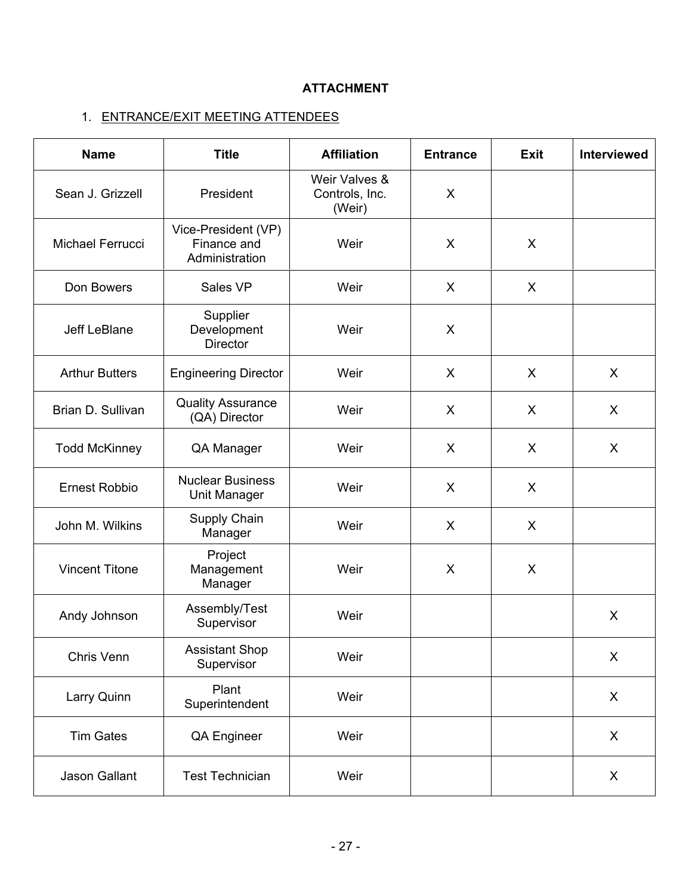# **ATTACHMENT**

# 1. ENTRANCE/EXIT MEETING ATTENDEES

| <b>Name</b>                             | <b>Title</b>                                         | <b>Affiliation</b>                        | <b>Entrance</b> | <b>Exit</b> | <b>Interviewed</b> |
|-----------------------------------------|------------------------------------------------------|-------------------------------------------|-----------------|-------------|--------------------|
| Sean J. Grizzell                        | President                                            | Weir Valves &<br>Controls, Inc.<br>(Weir) | X               |             |                    |
| Michael Ferrucci                        | Vice-President (VP)<br>Finance and<br>Administration | Weir                                      | X               | X           |                    |
| Don Bowers                              | Sales VP                                             | Weir                                      | X               | X           |                    |
| Jeff LeBlane                            | Supplier<br>Development<br>Director                  | Weir                                      | X               |             |                    |
| <b>Arthur Butters</b>                   | <b>Engineering Director</b>                          | Weir                                      | X               | X           | X                  |
| Brian D. Sullivan                       | <b>Quality Assurance</b><br>(QA) Director            | Weir                                      | X               | X           | X                  |
| <b>Todd McKinney</b>                    | QA Manager                                           | Weir                                      | X               | X           | X                  |
| <b>Ernest Robbio</b>                    | <b>Nuclear Business</b><br>Unit Manager              | Weir                                      | X               | X           |                    |
| John M. Wilkins                         | Supply Chain<br>Manager                              | Weir                                      | X               | $\sf X$     |                    |
| <b>Vincent Titone</b>                   | Project<br>Management<br>Manager                     | Weir                                      | X               | X           |                    |
| Andy Johnson                            | Assembly/Test<br>Supervisor                          | Weir                                      |                 |             | X                  |
| Chris Venn                              | <b>Assistant Shop</b><br>Supervisor                  | Weir                                      |                 |             | X                  |
| Larry Quinn                             | Plant<br>Superintendent                              | Weir                                      |                 |             | X                  |
| <b>Tim Gates</b>                        | QA Engineer                                          | Weir                                      |                 |             | X                  |
| Jason Gallant<br><b>Test Technician</b> |                                                      | Weir                                      |                 |             | X                  |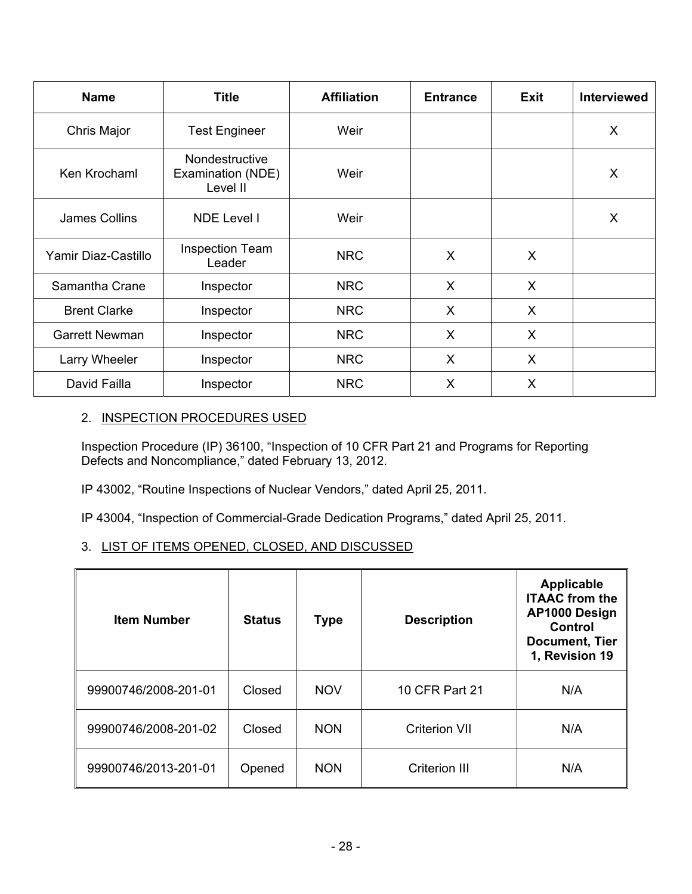| <b>Name</b>           | <b>Title</b>                                    | <b>Affiliation</b> | <b>Entrance</b> | Exit    | <b>Interviewed</b> |
|-----------------------|-------------------------------------------------|--------------------|-----------------|---------|--------------------|
| Chris Major           | <b>Test Engineer</b>                            | Weir               |                 |         | X                  |
| Ken Krochaml          | Nondestructive<br>Examination (NDE)<br>Level II | Weir               |                 |         | X                  |
| James Collins         | <b>NDE Level I</b>                              | Weir               |                 |         | X                  |
| Yamir Diaz-Castillo   | <b>Inspection Team</b><br>Leader                | <b>NRC</b>         | X               | X       |                    |
| Samantha Crane        | Inspector                                       | <b>NRC</b>         | X               | $\sf X$ |                    |
| <b>Brent Clarke</b>   | Inspector                                       | <b>NRC</b>         | X               | X       |                    |
| <b>Garrett Newman</b> | Inspector                                       | <b>NRC</b>         | X               | X       |                    |
| Larry Wheeler         | Inspector                                       | <b>NRC</b>         | X               | $\sf X$ |                    |
| David Failla          | Inspector                                       | <b>NRC</b>         | X               | X       |                    |

## 2. INSPECTION PROCEDURES USED

Inspection Procedure (IP) 36100, "Inspection of 10 CFR Part 21 and Programs for Reporting Defects and Noncompliance," dated February 13, 2012.

IP 43002, "Routine Inspections of Nuclear Vendors," dated April 25, 2011.

IP 43004, "Inspection of Commercial-Grade Dedication Programs," dated April 25, 2011.

## 3. LIST OF ITEMS OPENED, CLOSED, AND DISCUSSED

| <b>Item Number</b>   | <b>Status</b> | <b>Type</b> | <b>Description</b>   | <b>Applicable</b><br><b>ITAAC</b> from the<br>AP1000 Design<br>Control<br><b>Document, Tier</b><br>1, Revision 19 |
|----------------------|---------------|-------------|----------------------|-------------------------------------------------------------------------------------------------------------------|
| 99900746/2008-201-01 | Closed        | <b>NOV</b>  | 10 CFR Part 21       | N/A                                                                                                               |
| 99900746/2008-201-02 | Closed        | <b>NON</b>  | <b>Criterion VII</b> | N/A                                                                                                               |
| 99900746/2013-201-01 | Opened        | <b>NON</b>  | <b>Criterion III</b> | N/A                                                                                                               |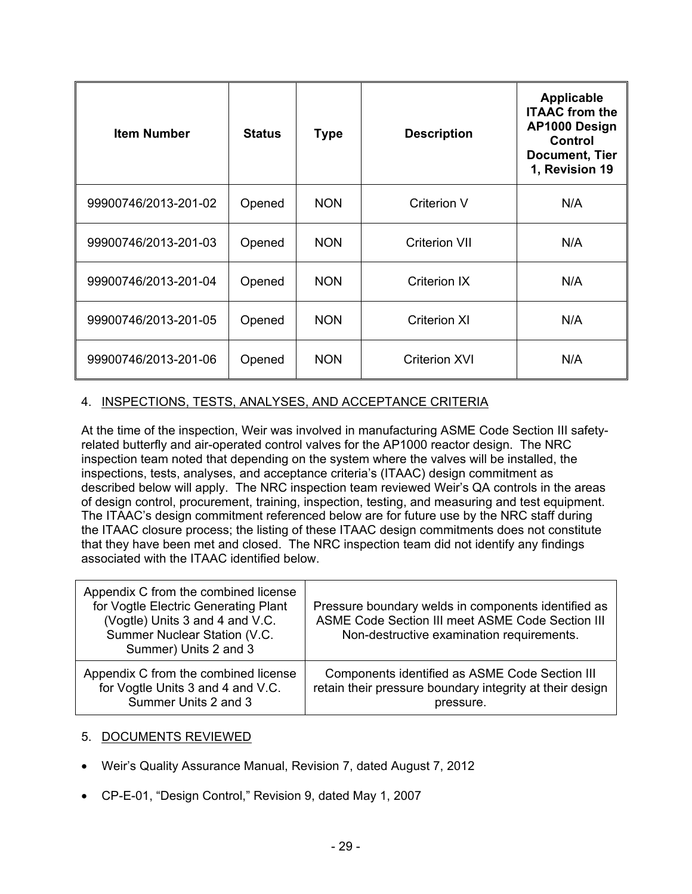| <b>Item Number</b>   | <b>Status</b> | <b>Type</b> | <b>Description</b>   | Applicable<br><b>ITAAC</b> from the<br>AP1000 Design<br>Control<br><b>Document, Tier</b><br>1, Revision 19 |
|----------------------|---------------|-------------|----------------------|------------------------------------------------------------------------------------------------------------|
| 99900746/2013-201-02 | Opened        | <b>NON</b>  | <b>Criterion V</b>   | N/A                                                                                                        |
| 99900746/2013-201-03 | Opened        | <b>NON</b>  | <b>Criterion VII</b> | N/A                                                                                                        |
| 99900746/2013-201-04 | Opened        | <b>NON</b>  | Criterion IX         | N/A                                                                                                        |
| 99900746/2013-201-05 | Opened        | <b>NON</b>  | <b>Criterion XI</b>  | N/A                                                                                                        |
| 99900746/2013-201-06 | Opened        | <b>NON</b>  | <b>Criterion XVI</b> | N/A                                                                                                        |

## 4. INSPECTIONS, TESTS, ANALYSES, AND ACCEPTANCE CRITERIA

At the time of the inspection, Weir was involved in manufacturing ASME Code Section III safetyrelated butterfly and air-operated control valves for the AP1000 reactor design. The NRC inspection team noted that depending on the system where the valves will be installed, the inspections, tests, analyses, and acceptance criteria's (ITAAC) design commitment as described below will apply. The NRC inspection team reviewed Weir's QA controls in the areas of design control, procurement, training, inspection, testing, and measuring and test equipment. The ITAAC's design commitment referenced below are for future use by the NRC staff during the ITAAC closure process; the listing of these ITAAC design commitments does not constitute that they have been met and closed. The NRC inspection team did not identify any findings associated with the ITAAC identified below.

| Appendix C from the combined license<br>for Vogtle Electric Generating Plant<br>(Vogtle) Units 3 and 4 and V.C.<br>Summer Nuclear Station (V.C.<br>Summer) Units 2 and 3 | Pressure boundary welds in components identified as<br>ASME Code Section III meet ASME Code Section III<br>Non-destructive examination requirements. |
|--------------------------------------------------------------------------------------------------------------------------------------------------------------------------|------------------------------------------------------------------------------------------------------------------------------------------------------|
| Appendix C from the combined license                                                                                                                                     | Components identified as ASME Code Section III                                                                                                       |
| for Vogtle Units 3 and 4 and V.C.                                                                                                                                        | retain their pressure boundary integrity at their design                                                                                             |
| Summer Units 2 and 3                                                                                                                                                     | pressure.                                                                                                                                            |

#### 5. DOCUMENTS REVIEWED

- Weir's Quality Assurance Manual, Revision 7, dated August 7, 2012
- CP-E-01, "Design Control," Revision 9, dated May 1, 2007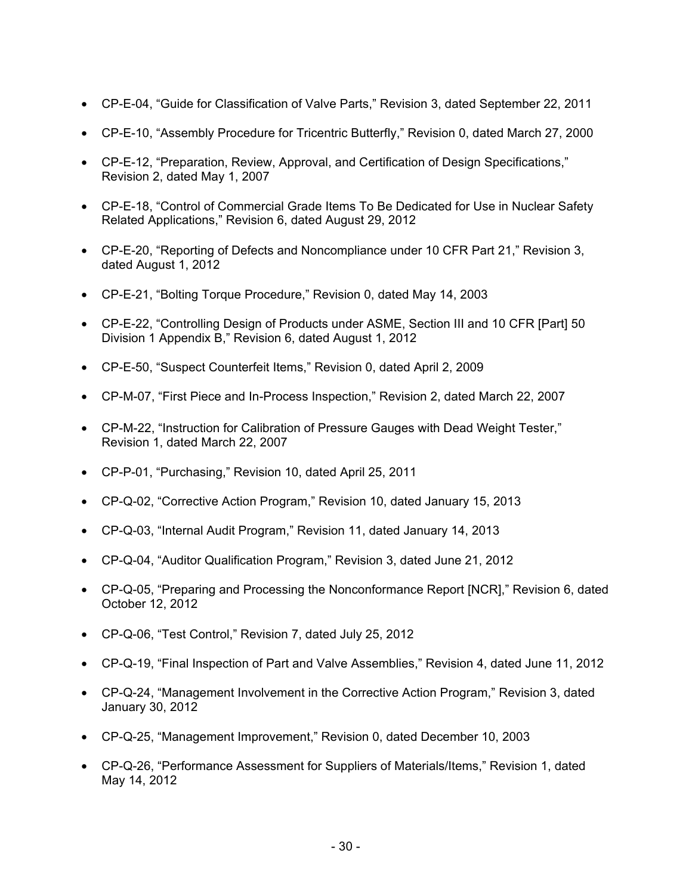- CP-E-04, "Guide for Classification of Valve Parts," Revision 3, dated September 22, 2011
- CP-E-10, "Assembly Procedure for Tricentric Butterfly," Revision 0, dated March 27, 2000
- CP-E-12, "Preparation, Review, Approval, and Certification of Design Specifications," Revision 2, dated May 1, 2007
- CP-E-18, "Control of Commercial Grade Items To Be Dedicated for Use in Nuclear Safety Related Applications," Revision 6, dated August 29, 2012
- CP-E-20, "Reporting of Defects and Noncompliance under 10 CFR Part 21," Revision 3, dated August 1, 2012
- CP-E-21, "Bolting Torque Procedure," Revision 0, dated May 14, 2003
- CP-E-22, "Controlling Design of Products under ASME, Section III and 10 CFR [Part] 50 Division 1 Appendix B," Revision 6, dated August 1, 2012
- CP-E-50, "Suspect Counterfeit Items," Revision 0, dated April 2, 2009
- CP-M-07, "First Piece and In-Process Inspection," Revision 2, dated March 22, 2007
- CP-M-22, "Instruction for Calibration of Pressure Gauges with Dead Weight Tester," Revision 1, dated March 22, 2007
- CP-P-01, "Purchasing," Revision 10, dated April 25, 2011
- CP-Q-02, "Corrective Action Program," Revision 10, dated January 15, 2013
- CP-Q-03, "Internal Audit Program," Revision 11, dated January 14, 2013
- CP-Q-04, "Auditor Qualification Program," Revision 3, dated June 21, 2012
- CP-Q-05, "Preparing and Processing the Nonconformance Report [NCR]," Revision 6, dated October 12, 2012
- CP-Q-06, "Test Control," Revision 7, dated July 25, 2012
- CP-Q-19, "Final Inspection of Part and Valve Assemblies," Revision 4, dated June 11, 2012
- CP-Q-24, "Management Involvement in the Corrective Action Program," Revision 3, dated January 30, 2012
- CP-Q-25, "Management Improvement," Revision 0, dated December 10, 2003
- CP-Q-26, "Performance Assessment for Suppliers of Materials/Items," Revision 1, dated May 14, 2012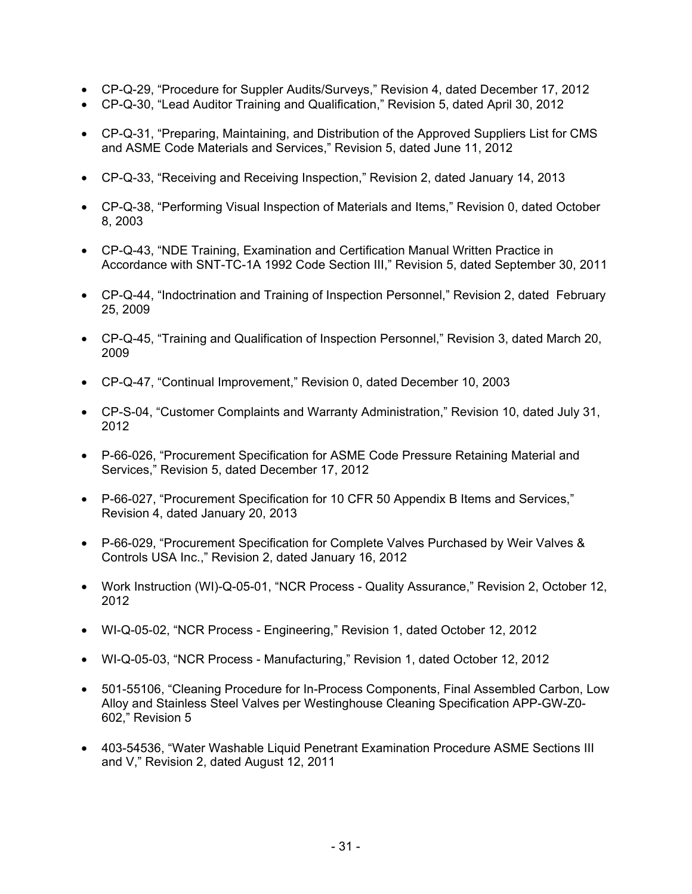- CP-Q-29, "Procedure for Suppler Audits/Surveys," Revision 4, dated December 17, 2012
- CP-Q-30, "Lead Auditor Training and Qualification," Revision 5, dated April 30, 2012
- CP-Q-31, "Preparing, Maintaining, and Distribution of the Approved Suppliers List for CMS and ASME Code Materials and Services," Revision 5, dated June 11, 2012
- CP-Q-33, "Receiving and Receiving Inspection," Revision 2, dated January 14, 2013
- CP-Q-38, "Performing Visual Inspection of Materials and Items," Revision 0, dated October 8, 2003
- CP-Q-43, "NDE Training, Examination and Certification Manual Written Practice in Accordance with SNT-TC-1A 1992 Code Section III," Revision 5, dated September 30, 2011
- CP-Q-44, "Indoctrination and Training of Inspection Personnel," Revision 2, dated February 25, 2009
- CP-Q-45, "Training and Qualification of Inspection Personnel," Revision 3, dated March 20, 2009
- CP-Q-47, "Continual Improvement," Revision 0, dated December 10, 2003
- CP-S-04, "Customer Complaints and Warranty Administration," Revision 10, dated July 31, 2012
- P-66-026, "Procurement Specification for ASME Code Pressure Retaining Material and Services," Revision 5, dated December 17, 2012
- P-66-027, "Procurement Specification for 10 CFR 50 Appendix B Items and Services," Revision 4, dated January 20, 2013
- P-66-029, "Procurement Specification for Complete Valves Purchased by Weir Valves & Controls USA Inc.," Revision 2, dated January 16, 2012
- Work Instruction (WI)-Q-05-01, "NCR Process Quality Assurance," Revision 2, October 12, 2012
- WI-Q-05-02, "NCR Process Engineering," Revision 1, dated October 12, 2012
- WI-Q-05-03, "NCR Process Manufacturing," Revision 1, dated October 12, 2012
- 501-55106, "Cleaning Procedure for In-Process Components, Final Assembled Carbon, Low Alloy and Stainless Steel Valves per Westinghouse Cleaning Specification APP-GW-Z0- 602," Revision 5
- 403-54536, "Water Washable Liquid Penetrant Examination Procedure ASME Sections III and V," Revision 2, dated August 12, 2011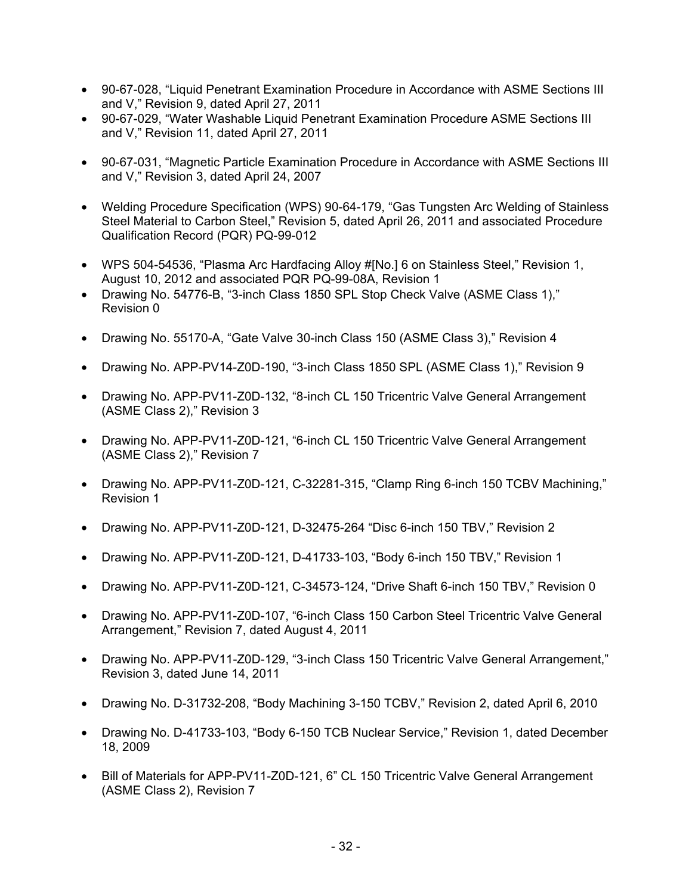- 90-67-028, "Liquid Penetrant Examination Procedure in Accordance with ASME Sections III and V," Revision 9, dated April 27, 2011
- 90-67-029, "Water Washable Liquid Penetrant Examination Procedure ASME Sections III and V," Revision 11, dated April 27, 2011
- 90-67-031, "Magnetic Particle Examination Procedure in Accordance with ASME Sections III and V," Revision 3, dated April 24, 2007
- Welding Procedure Specification (WPS) 90-64-179, "Gas Tungsten Arc Welding of Stainless Steel Material to Carbon Steel," Revision 5, dated April 26, 2011 and associated Procedure Qualification Record (PQR) PQ-99-012
- WPS 504-54536, "Plasma Arc Hardfacing Alloy #[No.] 6 on Stainless Steel," Revision 1, August 10, 2012 and associated PQR PQ-99-08A, Revision 1
- Drawing No. 54776-B, "3-inch Class 1850 SPL Stop Check Valve (ASME Class 1)," Revision 0
- Drawing No. 55170-A, "Gate Valve 30-inch Class 150 (ASME Class 3)," Revision 4
- Drawing No. APP-PV14-Z0D-190, "3-inch Class 1850 SPL (ASME Class 1)," Revision 9
- Drawing No. APP-PV11-Z0D-132, "8-inch CL 150 Tricentric Valve General Arrangement (ASME Class 2)," Revision 3
- Drawing No. APP-PV11-Z0D-121, "6-inch CL 150 Tricentric Valve General Arrangement (ASME Class 2)," Revision 7
- Drawing No. APP-PV11-Z0D-121, C-32281-315, "Clamp Ring 6-inch 150 TCBV Machining," Revision 1
- Drawing No. APP-PV11-Z0D-121, D-32475-264 "Disc 6-inch 150 TBV," Revision 2
- Drawing No. APP-PV11-Z0D-121, D-41733-103, "Body 6-inch 150 TBV," Revision 1
- Drawing No. APP-PV11-Z0D-121, C-34573-124, "Drive Shaft 6-inch 150 TBV," Revision 0
- Drawing No. APP-PV11-Z0D-107, "6-inch Class 150 Carbon Steel Tricentric Valve General Arrangement," Revision 7, dated August 4, 2011
- Drawing No. APP-PV11-Z0D-129, "3-inch Class 150 Tricentric Valve General Arrangement," Revision 3, dated June 14, 2011
- Drawing No. D-31732-208, "Body Machining 3-150 TCBV," Revision 2, dated April 6, 2010
- Drawing No. D-41733-103, "Body 6-150 TCB Nuclear Service," Revision 1, dated December 18, 2009
- Bill of Materials for APP-PV11-Z0D-121, 6" CL 150 Tricentric Valve General Arrangement (ASME Class 2), Revision 7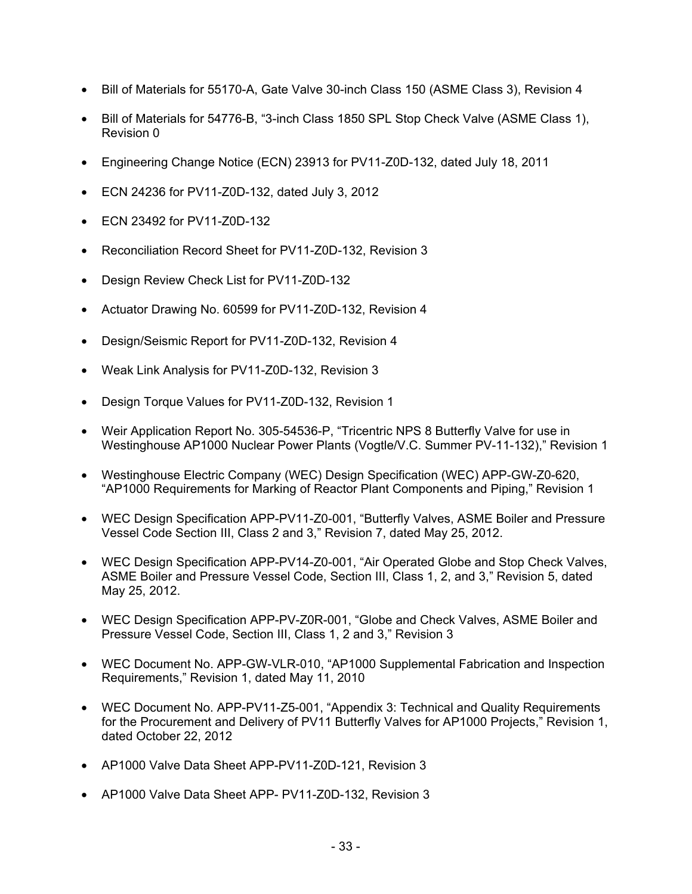- Bill of Materials for 55170-A, Gate Valve 30-inch Class 150 (ASME Class 3), Revision 4
- Bill of Materials for 54776-B, "3-inch Class 1850 SPL Stop Check Valve (ASME Class 1), Revision 0
- Engineering Change Notice (ECN) 23913 for PV11-Z0D-132, dated July 18, 2011
- ECN 24236 for PV11-Z0D-132, dated July 3, 2012
- ECN 23492 for PV11-Z0D-132
- Reconciliation Record Sheet for PV11-Z0D-132, Revision 3
- Design Review Check List for PV11-Z0D-132
- Actuator Drawing No. 60599 for PV11-Z0D-132, Revision 4
- Design/Seismic Report for PV11-Z0D-132, Revision 4
- Weak Link Analysis for PV11-Z0D-132, Revision 3
- Design Torque Values for PV11-Z0D-132, Revision 1
- Weir Application Report No. 305-54536-P, "Tricentric NPS 8 Butterfly Valve for use in Westinghouse AP1000 Nuclear Power Plants (Vogtle/V.C. Summer PV-11-132)," Revision 1
- Westinghouse Electric Company (WEC) Design Specification (WEC) APP-GW-Z0-620, "AP1000 Requirements for Marking of Reactor Plant Components and Piping," Revision 1
- WEC Design Specification APP-PV11-Z0-001, "Butterfly Valves, ASME Boiler and Pressure Vessel Code Section III, Class 2 and 3," Revision 7, dated May 25, 2012.
- WEC Design Specification APP-PV14-Z0-001, "Air Operated Globe and Stop Check Valves, ASME Boiler and Pressure Vessel Code, Section III, Class 1, 2, and 3," Revision 5, dated May 25, 2012.
- WEC Design Specification APP-PV-Z0R-001, "Globe and Check Valves, ASME Boiler and Pressure Vessel Code, Section III, Class 1, 2 and 3," Revision 3
- WEC Document No. APP-GW-VLR-010, "AP1000 Supplemental Fabrication and Inspection Requirements," Revision 1, dated May 11, 2010
- WEC Document No. APP-PV11-Z5-001, "Appendix 3: Technical and Quality Requirements for the Procurement and Delivery of PV11 Butterfly Valves for AP1000 Projects," Revision 1, dated October 22, 2012
- AP1000 Valve Data Sheet APP-PV11-Z0D-121, Revision 3
- AP1000 Valve Data Sheet APP- PV11-Z0D-132, Revision 3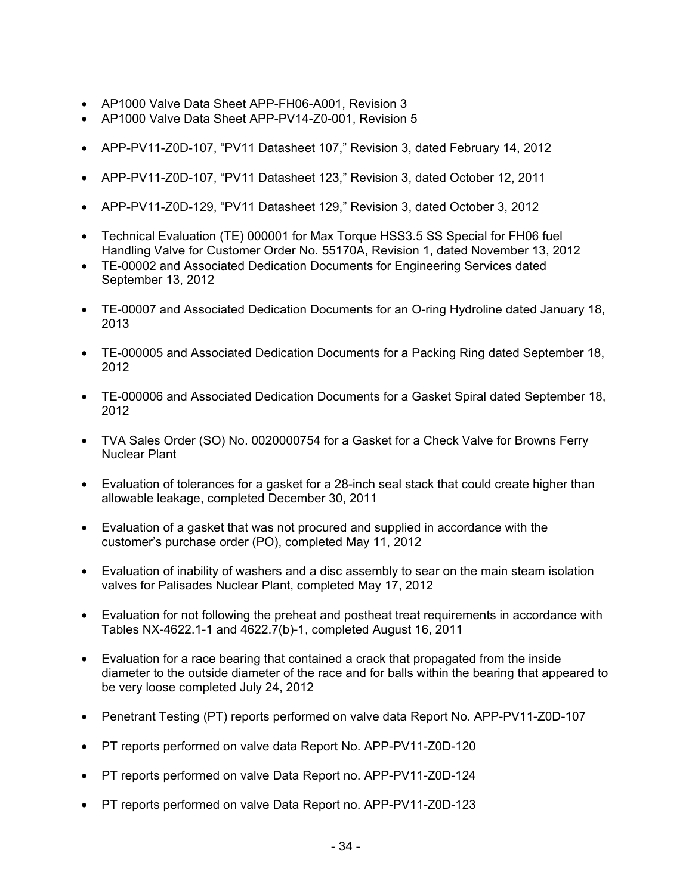- AP1000 Valve Data Sheet APP-FH06-A001, Revision 3
- AP1000 Valve Data Sheet APP-PV14-Z0-001, Revision 5
- APP-PV11-Z0D-107, "PV11 Datasheet 107," Revision 3, dated February 14, 2012
- APP-PV11-Z0D-107, "PV11 Datasheet 123," Revision 3, dated October 12, 2011
- APP-PV11-Z0D-129, "PV11 Datasheet 129," Revision 3, dated October 3, 2012
- Technical Evaluation (TE) 000001 for Max Torque HSS3.5 SS Special for FH06 fuel Handling Valve for Customer Order No. 55170A, Revision 1, dated November 13, 2012
- TE-00002 and Associated Dedication Documents for Engineering Services dated September 13, 2012
- TE-00007 and Associated Dedication Documents for an O-ring Hydroline dated January 18, 2013
- TE-000005 and Associated Dedication Documents for a Packing Ring dated September 18, 2012
- TE-000006 and Associated Dedication Documents for a Gasket Spiral dated September 18, 2012
- TVA Sales Order (SO) No. 0020000754 for a Gasket for a Check Valve for Browns Ferry Nuclear Plant
- Evaluation of tolerances for a gasket for a 28-inch seal stack that could create higher than allowable leakage, completed December 30, 2011
- Evaluation of a gasket that was not procured and supplied in accordance with the customer's purchase order (PO), completed May 11, 2012
- Evaluation of inability of washers and a disc assembly to sear on the main steam isolation valves for Palisades Nuclear Plant, completed May 17, 2012
- Evaluation for not following the preheat and postheat treat requirements in accordance with Tables NX-4622.1-1 and 4622.7(b)-1, completed August 16, 2011
- Evaluation for a race bearing that contained a crack that propagated from the inside diameter to the outside diameter of the race and for balls within the bearing that appeared to be very loose completed July 24, 2012
- Penetrant Testing (PT) reports performed on valve data Report No. APP-PV11-Z0D-107
- PT reports performed on valve data Report No. APP-PV11-Z0D-120
- PT reports performed on valve Data Report no. APP-PV11-Z0D-124
- PT reports performed on valve Data Report no. APP-PV11-Z0D-123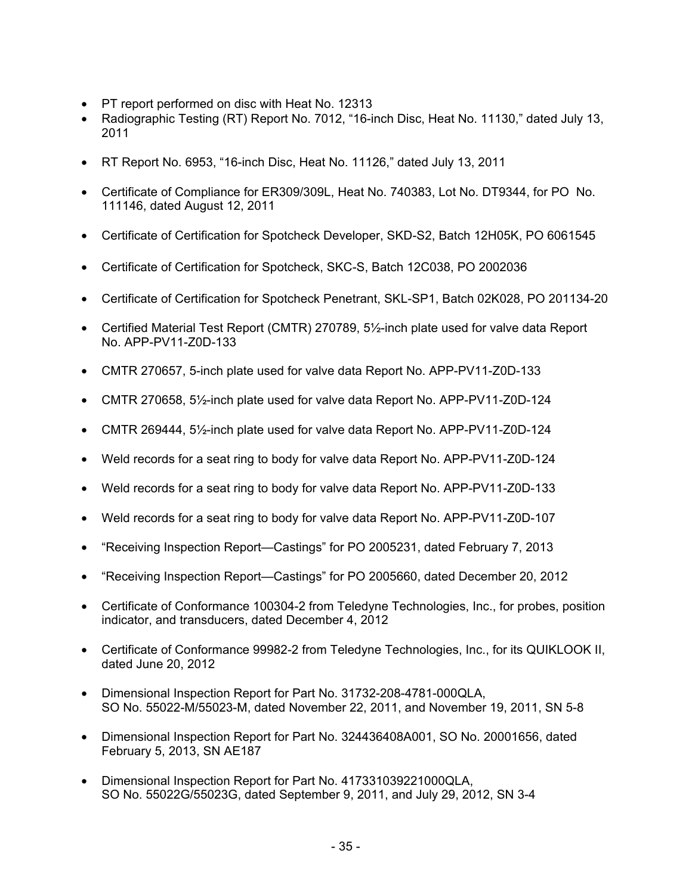- PT report performed on disc with Heat No. 12313
- Radiographic Testing (RT) Report No. 7012, "16-inch Disc, Heat No. 11130," dated July 13, 2011
- RT Report No. 6953, "16-inch Disc, Heat No. 11126," dated July 13, 2011
- Certificate of Compliance for ER309/309L, Heat No. 740383, Lot No. DT9344, for PO No. 111146, dated August 12, 2011
- Certificate of Certification for Spotcheck Developer, SKD-S2, Batch 12H05K, PO 6061545
- Certificate of Certification for Spotcheck, SKC-S, Batch 12C038, PO 2002036
- Certificate of Certification for Spotcheck Penetrant, SKL-SP1, Batch 02K028, PO 201134-20
- Certified Material Test Report (CMTR) 270789, 5½-inch plate used for valve data Report No. APP-PV11-Z0D-133
- CMTR 270657, 5-inch plate used for valve data Report No. APP-PV11-Z0D-133
- CMTR 270658, 5½-inch plate used for valve data Report No. APP-PV11-Z0D-124
- CMTR 269444, 5½-inch plate used for valve data Report No. APP-PV11-Z0D-124
- Weld records for a seat ring to body for valve data Report No. APP-PV11-Z0D-124
- Weld records for a seat ring to body for valve data Report No. APP-PV11-Z0D-133
- Weld records for a seat ring to body for valve data Report No. APP-PV11-Z0D-107
- "Receiving Inspection Report—Castings" for PO 2005231, dated February 7, 2013
- "Receiving Inspection Report—Castings" for PO 2005660, dated December 20, 2012
- Certificate of Conformance 100304-2 from Teledyne Technologies, Inc., for probes, position indicator, and transducers, dated December 4, 2012
- Certificate of Conformance 99982-2 from Teledyne Technologies, Inc., for its QUIKLOOK II, dated June 20, 2012
- Dimensional Inspection Report for Part No. 31732-208-4781-000QLA, SO No. 55022-M/55023-M, dated November 22, 2011, and November 19, 2011, SN 5-8
- Dimensional Inspection Report for Part No. 324436408A001, SO No. 20001656, dated February 5, 2013, SN AE187
- Dimensional Inspection Report for Part No. 417331039221000QLA, SO No. 55022G/55023G, dated September 9, 2011, and July 29, 2012, SN 3-4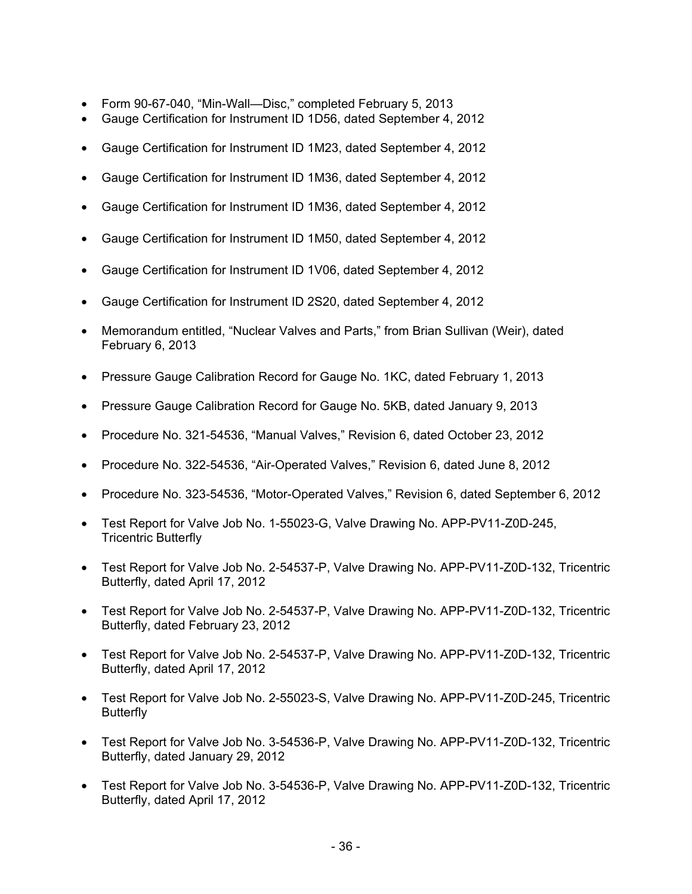- Form 90-67-040, "Min-Wall—Disc," completed February 5, 2013
- Gauge Certification for Instrument ID 1D56, dated September 4, 2012
- Gauge Certification for Instrument ID 1M23, dated September 4, 2012
- Gauge Certification for Instrument ID 1M36, dated September 4, 2012
- Gauge Certification for Instrument ID 1M36, dated September 4, 2012
- Gauge Certification for Instrument ID 1M50, dated September 4, 2012
- Gauge Certification for Instrument ID 1V06, dated September 4, 2012
- Gauge Certification for Instrument ID 2S20, dated September 4, 2012
- Memorandum entitled, "Nuclear Valves and Parts," from Brian Sullivan (Weir), dated February 6, 2013
- Pressure Gauge Calibration Record for Gauge No. 1KC, dated February 1, 2013
- Pressure Gauge Calibration Record for Gauge No. 5KB, dated January 9, 2013
- Procedure No. 321-54536, "Manual Valves," Revision 6, dated October 23, 2012
- Procedure No. 322-54536, "Air-Operated Valves," Revision 6, dated June 8, 2012
- Procedure No. 323-54536, "Motor-Operated Valves," Revision 6, dated September 6, 2012
- Test Report for Valve Job No. 1-55023-G, Valve Drawing No. APP-PV11-Z0D-245, Tricentric Butterfly
- Test Report for Valve Job No. 2-54537-P, Valve Drawing No. APP-PV11-Z0D-132, Tricentric Butterfly, dated April 17, 2012
- Test Report for Valve Job No. 2-54537-P, Valve Drawing No. APP-PV11-Z0D-132, Tricentric Butterfly, dated February 23, 2012
- Test Report for Valve Job No. 2-54537-P, Valve Drawing No. APP-PV11-Z0D-132, Tricentric Butterfly, dated April 17, 2012
- Test Report for Valve Job No. 2-55023-S, Valve Drawing No. APP-PV11-Z0D-245, Tricentric **Butterfly**
- Test Report for Valve Job No. 3-54536-P, Valve Drawing No. APP-PV11-Z0D-132, Tricentric Butterfly, dated January 29, 2012
- Test Report for Valve Job No. 3-54536-P, Valve Drawing No. APP-PV11-Z0D-132, Tricentric Butterfly, dated April 17, 2012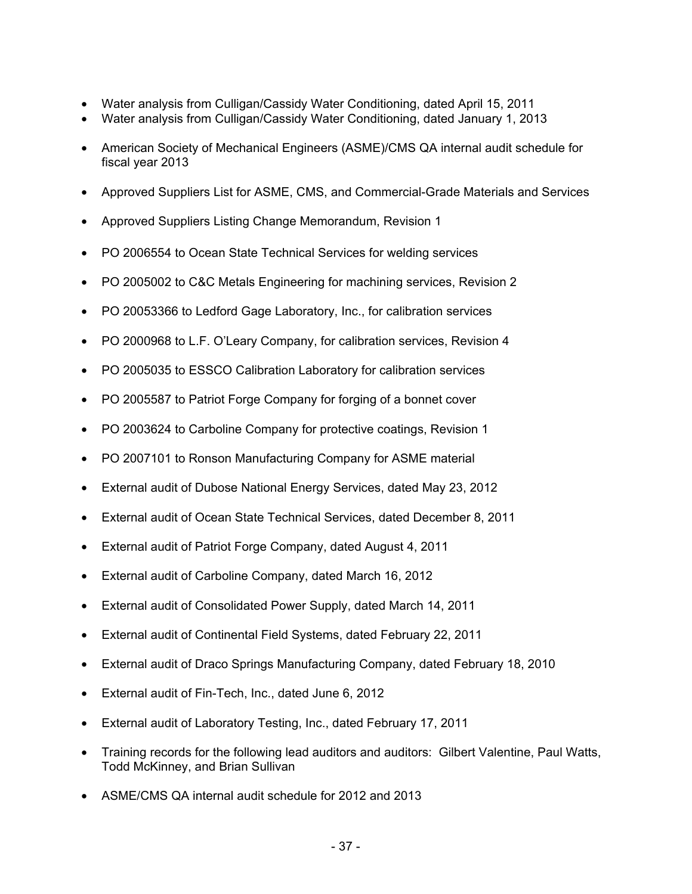- Water analysis from Culligan/Cassidy Water Conditioning, dated April 15, 2011
- Water analysis from Culligan/Cassidy Water Conditioning, dated January 1, 2013
- American Society of Mechanical Engineers (ASME)/CMS QA internal audit schedule for fiscal year 2013
- Approved Suppliers List for ASME, CMS, and Commercial-Grade Materials and Services
- Approved Suppliers Listing Change Memorandum, Revision 1
- PO 2006554 to Ocean State Technical Services for welding services
- PO 2005002 to C&C Metals Engineering for machining services, Revision 2
- PO 20053366 to Ledford Gage Laboratory, Inc., for calibration services
- PO 2000968 to L.F. O'Leary Company, for calibration services, Revision 4
- PO 2005035 to ESSCO Calibration Laboratory for calibration services
- PO 2005587 to Patriot Forge Company for forging of a bonnet cover
- PO 2003624 to Carboline Company for protective coatings, Revision 1
- PO 2007101 to Ronson Manufacturing Company for ASME material
- External audit of Dubose National Energy Services, dated May 23, 2012
- External audit of Ocean State Technical Services, dated December 8, 2011
- External audit of Patriot Forge Company, dated August 4, 2011
- External audit of Carboline Company, dated March 16, 2012
- External audit of Consolidated Power Supply, dated March 14, 2011
- External audit of Continental Field Systems, dated February 22, 2011
- External audit of Draco Springs Manufacturing Company, dated February 18, 2010
- External audit of Fin-Tech, Inc., dated June 6, 2012
- External audit of Laboratory Testing, Inc., dated February 17, 2011
- Training records for the following lead auditors and auditors: Gilbert Valentine, Paul Watts, Todd McKinney, and Brian Sullivan
- ASME/CMS QA internal audit schedule for 2012 and 2013